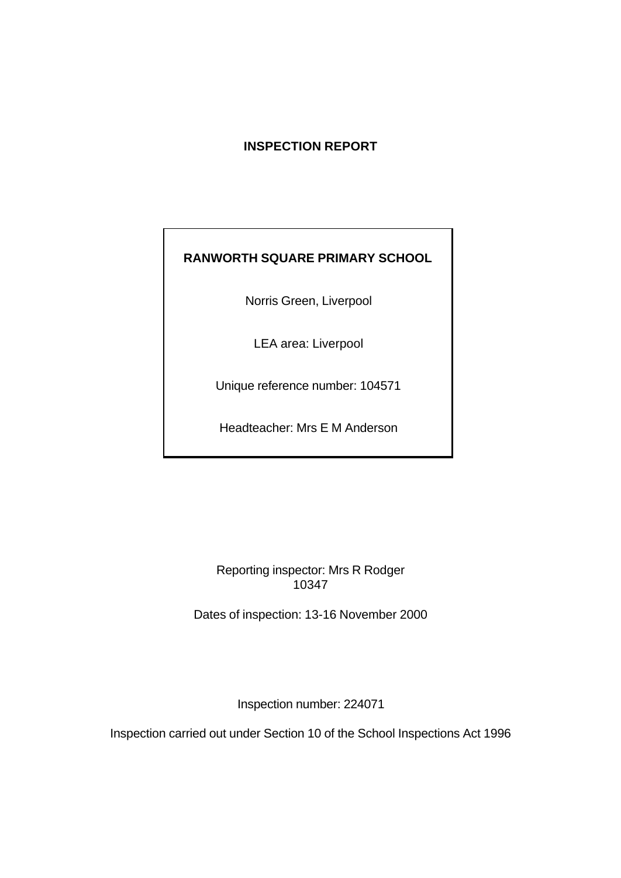# **INSPECTION REPORT**

# **RANWORTH SQUARE PRIMARY SCHOOL**

Norris Green, Liverpool

LEA area: Liverpool

Unique reference number: 104571

Headteacher: Mrs E M Anderson

Reporting inspector: Mrs R Rodger 10347

Dates of inspection: 13-16 November 2000

Inspection number: 224071

Inspection carried out under Section 10 of the School Inspections Act 1996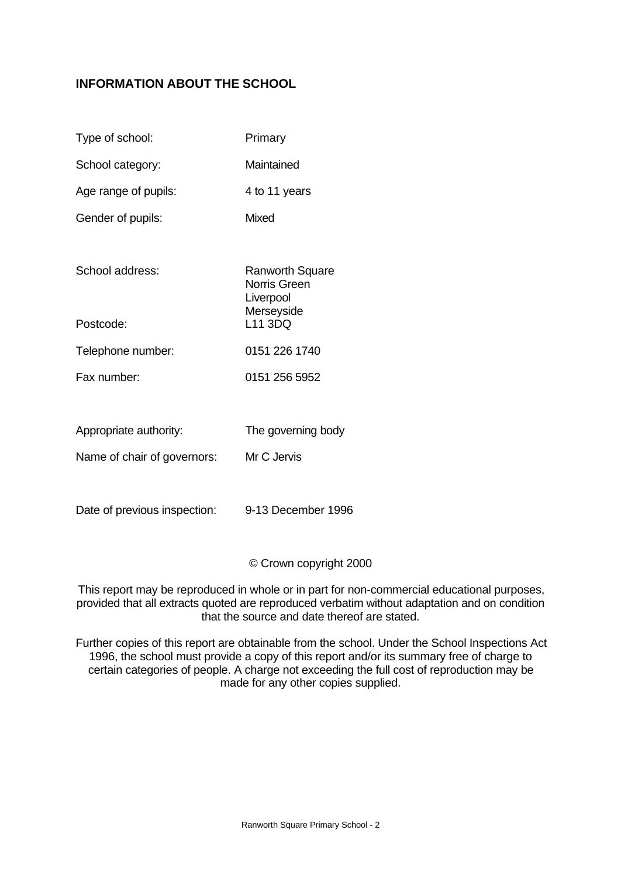# **INFORMATION ABOUT THE SCHOOL**

| Type of school:        | Primary                                                    |
|------------------------|------------------------------------------------------------|
| School category:       | Maintained                                                 |
| Age range of pupils:   | 4 to 11 years                                              |
| Gender of pupils:      | Mixed                                                      |
| School address:        | Ranworth Square<br>Norris Green<br>Liverpool<br>Merseyside |
| Postcode:              | L11 3DQ                                                    |
| Telephone number:      | 0151 226 1740                                              |
| Fax number:            | 0151 256 5952                                              |
|                        |                                                            |
| Appropriate authority: | The governing body                                         |

Name of chair of governors: Mr C Jervis

Date of previous inspection: 9-13 December 1996

© Crown copyright 2000

This report may be reproduced in whole or in part for non-commercial educational purposes, provided that all extracts quoted are reproduced verbatim without adaptation and on condition that the source and date thereof are stated.

Further copies of this report are obtainable from the school. Under the School Inspections Act 1996, the school must provide a copy of this report and/or its summary free of charge to certain categories of people. A charge not exceeding the full cost of reproduction may be made for any other copies supplied.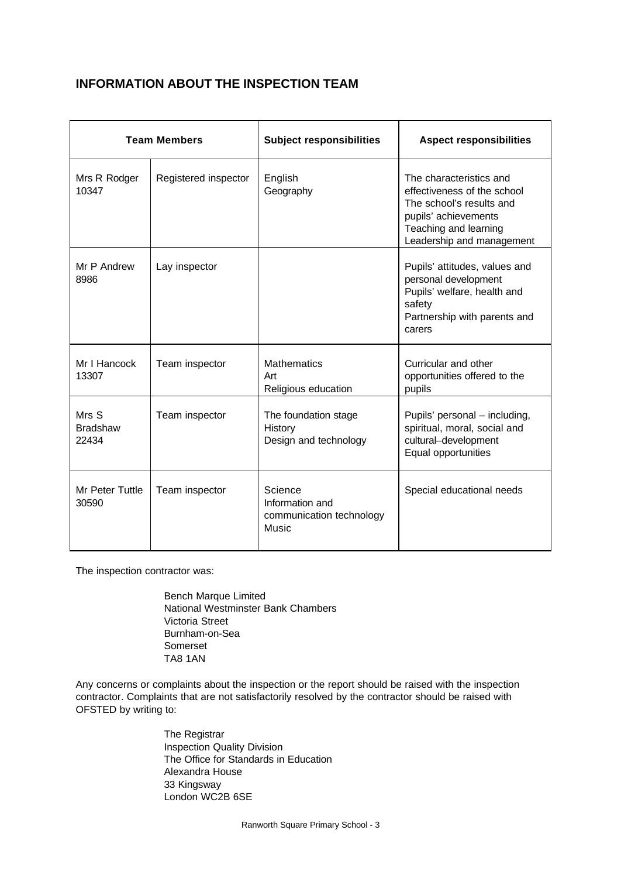# **INFORMATION ABOUT THE INSPECTION TEAM**

| <b>Team Members</b>               |                      | <b>Subject responsibilities</b>                                 | <b>Aspect responsibilities</b>                                                                                                                                   |  |
|-----------------------------------|----------------------|-----------------------------------------------------------------|------------------------------------------------------------------------------------------------------------------------------------------------------------------|--|
| Mrs R Rodger<br>10347             | Registered inspector | English<br>Geography                                            | The characteristics and<br>effectiveness of the school<br>The school's results and<br>pupils' achievements<br>Teaching and learning<br>Leadership and management |  |
| Mr P Andrew<br>8986               | Lay inspector        |                                                                 | Pupils' attitudes, values and<br>personal development<br>Pupils' welfare, health and<br>safety<br>Partnership with parents and<br>carers                         |  |
| Mr I Hancock<br>13307             | Team inspector       | <b>Mathematics</b><br>Art<br>Religious education                | Curricular and other<br>opportunities offered to the<br>pupils                                                                                                   |  |
| Mrs S<br><b>Bradshaw</b><br>22434 | Team inspector       | The foundation stage<br>History<br>Design and technology        | Pupils' personal - including,<br>spiritual, moral, social and<br>cultural-development<br>Equal opportunities                                                     |  |
| Mr Peter Tuttle<br>30590          | Team inspector       | Science<br>Information and<br>communication technology<br>Music | Special educational needs                                                                                                                                        |  |

The inspection contractor was:

Bench Marque Limited National Westminster Bank Chambers Victoria Street Burnham-on-Sea Somerset TA8 1AN

Any concerns or complaints about the inspection or the report should be raised with the inspection contractor. Complaints that are not satisfactorily resolved by the contractor should be raised with OFSTED by writing to:

> The Registrar Inspection Quality Division The Office for Standards in Education Alexandra House 33 Kingsway London WC2B 6SE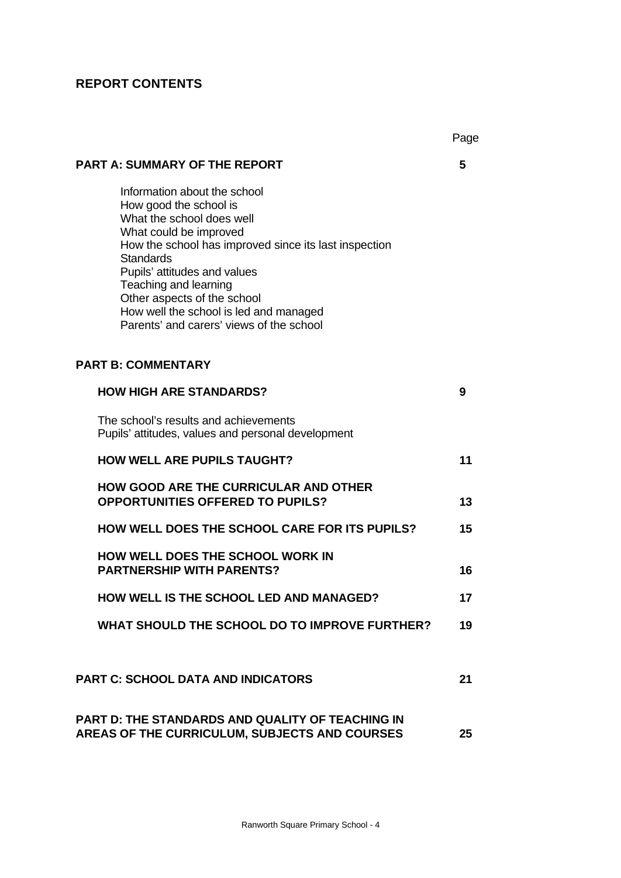# **REPORT CONTENTS**

|                                                                                                                                                                                                                                                                                                                                                                          | Page |
|--------------------------------------------------------------------------------------------------------------------------------------------------------------------------------------------------------------------------------------------------------------------------------------------------------------------------------------------------------------------------|------|
| <b>PART A: SUMMARY OF THE REPORT</b>                                                                                                                                                                                                                                                                                                                                     | 5    |
| Information about the school<br>How good the school is<br>What the school does well<br>What could be improved<br>How the school has improved since its last inspection<br><b>Standards</b><br>Pupils' attitudes and values<br>Teaching and learning<br>Other aspects of the school<br>How well the school is led and managed<br>Parents' and carers' views of the school |      |
| <b>PART B: COMMENTARY</b>                                                                                                                                                                                                                                                                                                                                                |      |
| <b>HOW HIGH ARE STANDARDS?</b>                                                                                                                                                                                                                                                                                                                                           | 9    |
| The school's results and achievements<br>Pupils' attitudes, values and personal development                                                                                                                                                                                                                                                                              |      |
| <b>HOW WELL ARE PUPILS TAUGHT?</b>                                                                                                                                                                                                                                                                                                                                       | 11   |
| <b>HOW GOOD ARE THE CURRICULAR AND OTHER</b><br><b>OPPORTUNITIES OFFERED TO PUPILS?</b>                                                                                                                                                                                                                                                                                  | 13   |
| <b>HOW WELL DOES THE SCHOOL CARE FOR ITS PUPILS?</b>                                                                                                                                                                                                                                                                                                                     | 15   |
| HOW WELL DOES THE SCHOOL WORK IN<br><b>PARTNERSHIP WITH PARENTS?</b>                                                                                                                                                                                                                                                                                                     | 16   |
| <b>HOW WELL IS THE SCHOOL LED AND MANAGED?</b>                                                                                                                                                                                                                                                                                                                           | 17   |
| WHAT SHOULD THE SCHOOL DO TO IMPROVE FURTHER?                                                                                                                                                                                                                                                                                                                            | 19   |
|                                                                                                                                                                                                                                                                                                                                                                          |      |
| <b>PART C: SCHOOL DATA AND INDICATORS</b>                                                                                                                                                                                                                                                                                                                                | 21   |
| PART D: THE STANDARDS AND QUALITY OF TEACHING IN<br><b>AREAS OF THE CURRICULUM, SUBJECTS AND COURSES</b>                                                                                                                                                                                                                                                                 | 25   |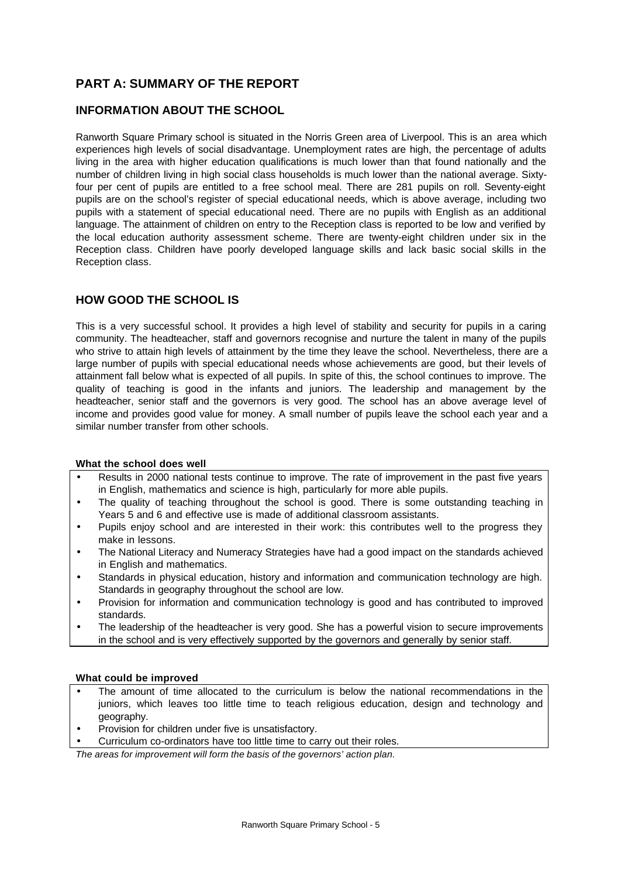# **PART A: SUMMARY OF THE REPORT**

## **INFORMATION ABOUT THE SCHOOL**

Ranworth Square Primary school is situated in the Norris Green area of Liverpool. This is an area which experiences high levels of social disadvantage. Unemployment rates are high, the percentage of adults living in the area with higher education qualifications is much lower than that found nationally and the number of children living in high social class households is much lower than the national average. Sixtyfour per cent of pupils are entitled to a free school meal. There are 281 pupils on roll. Seventy-eight pupils are on the school's register of special educational needs, which is above average, including two pupils with a statement of special educational need. There are no pupils with English as an additional language. The attainment of children on entry to the Reception class is reported to be low and verified by the local education authority assessment scheme. There are twenty-eight children under six in the Reception class. Children have poorly developed language skills and lack basic social skills in the Reception class.

## **HOW GOOD THE SCHOOL IS**

This is a very successful school. It provides a high level of stability and security for pupils in a caring community. The headteacher, staff and governors recognise and nurture the talent in many of the pupils who strive to attain high levels of attainment by the time they leave the school. Nevertheless, there are a large number of pupils with special educational needs whose achievements are good, but their levels of attainment fall below what is expected of all pupils. In spite of this, the school continues to improve. The quality of teaching is good in the infants and juniors. The leadership and management by the headteacher, senior staff and the governors is very good. The school has an above average level of income and provides good value for money. A small number of pupils leave the school each year and a similar number transfer from other schools.

#### **What the school does well**

- Results in 2000 national tests continue to improve. The rate of improvement in the past five years in English, mathematics and science is high, particularly for more able pupils.
- The quality of teaching throughout the school is good. There is some outstanding teaching in Years 5 and 6 and effective use is made of additional classroom assistants.
- Pupils enjoy school and are interested in their work: this contributes well to the progress they make in lessons.
- The National Literacy and Numeracy Strategies have had a good impact on the standards achieved in English and mathematics.
- Standards in physical education, history and information and communication technology are high. Standards in geography throughout the school are low.
- Provision for information and communication technology is good and has contributed to improved standards.
- The leadership of the headteacher is very good. She has a powerful vision to secure improvements in the school and is very effectively supported by the governors and generally by senior staff.

#### **What could be improved**

- The amount of time allocated to the curriculum is below the national recommendations in the juniors, which leaves too little time to teach religious education, design and technology and geography.
- Provision for children under five is unsatisfactory.
- Curriculum co-ordinators have too little time to carry out their roles.

*The areas for improvement will form the basis of the governors' action plan.*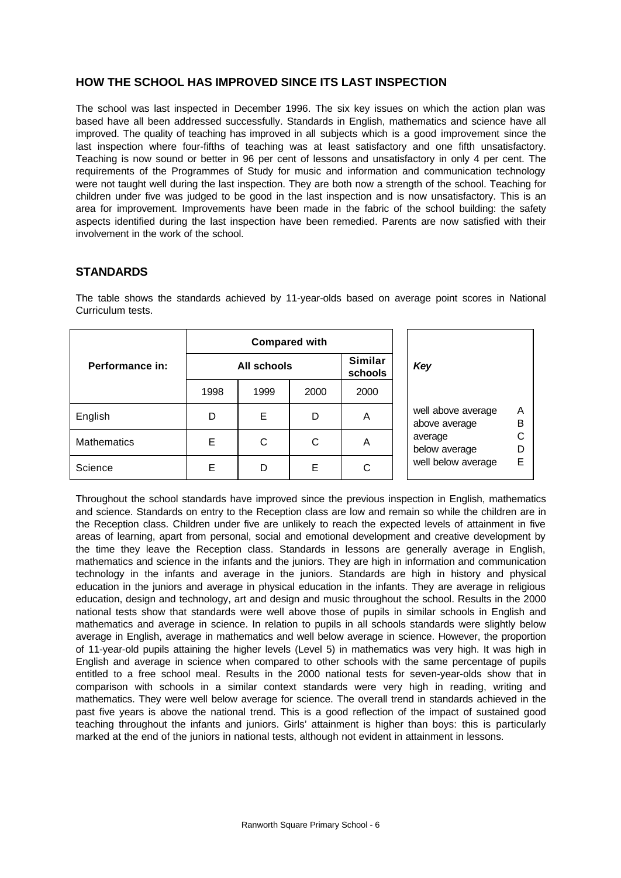## **HOW THE SCHOOL HAS IMPROVED SINCE ITS LAST INSPECTION**

The school was last inspected in December 1996. The six key issues on which the action plan was based have all been addressed successfully. Standards in English, mathematics and science have all improved. The quality of teaching has improved in all subjects which is a good improvement since the last inspection where four-fifths of teaching was at least satisfactory and one fifth unsatisfactory. Teaching is now sound or better in 96 per cent of lessons and unsatisfactory in only 4 per cent. The requirements of the Programmes of Study for music and information and communication technology were not taught well during the last inspection. They are both now a strength of the school. Teaching for children under five was judged to be good in the last inspection and is now unsatisfactory. This is an area for improvement. Improvements have been made in the fabric of the school building: the safety aspects identified during the last inspection have been remedied. Parents are now satisfied with their involvement in the work of the school.

### **STANDARDS**

The table shows the standards achieved by 11-year-olds based on average point scores in National Curriculum tests.

|                    | <b>Compared with</b> |      |      |                           |                                               |
|--------------------|----------------------|------|------|---------------------------|-----------------------------------------------|
| Performance in:    | <b>All schools</b>   |      |      | <b>Similar</b><br>schools | Key                                           |
|                    | 1998                 | 1999 | 2000 | 2000                      |                                               |
| English            | D                    | Е    | D    | A                         | well above average<br>A<br>B<br>above average |
| <b>Mathematics</b> | Е                    | С    | C    | A                         | average<br>below average                      |
| Science            | Е                    | D    | E    | С                         | well below average<br>Ε                       |

Throughout the school standards have improved since the previous inspection in English, mathematics and science. Standards on entry to the Reception class are low and remain so while the children are in the Reception class. Children under five are unlikely to reach the expected levels of attainment in five areas of learning, apart from personal, social and emotional development and creative development by the time they leave the Reception class. Standards in lessons are generally average in English, mathematics and science in the infants and the juniors. They are high in information and communication technology in the infants and average in the juniors. Standards are high in history and physical education in the juniors and average in physical education in the infants. They are average in religious education, design and technology, art and design and music throughout the school. Results in the 2000 national tests show that standards were well above those of pupils in similar schools in English and mathematics and average in science. In relation to pupils in all schools standards were slightly below average in English, average in mathematics and well below average in science. However, the proportion of 11-year-old pupils attaining the higher levels (Level 5) in mathematics was very high. It was high in English and average in science when compared to other schools with the same percentage of pupils entitled to a free school meal. Results in the 2000 national tests for seven-year-olds show that in comparison with schools in a similar context standards were very high in reading, writing and mathematics. They were well below average for science. The overall trend in standards achieved in the past five years is above the national trend. This is a good reflection of the impact of sustained good teaching throughout the infants and juniors. Girls' attainment is higher than boys: this is particularly marked at the end of the juniors in national tests, although not evident in attainment in lessons.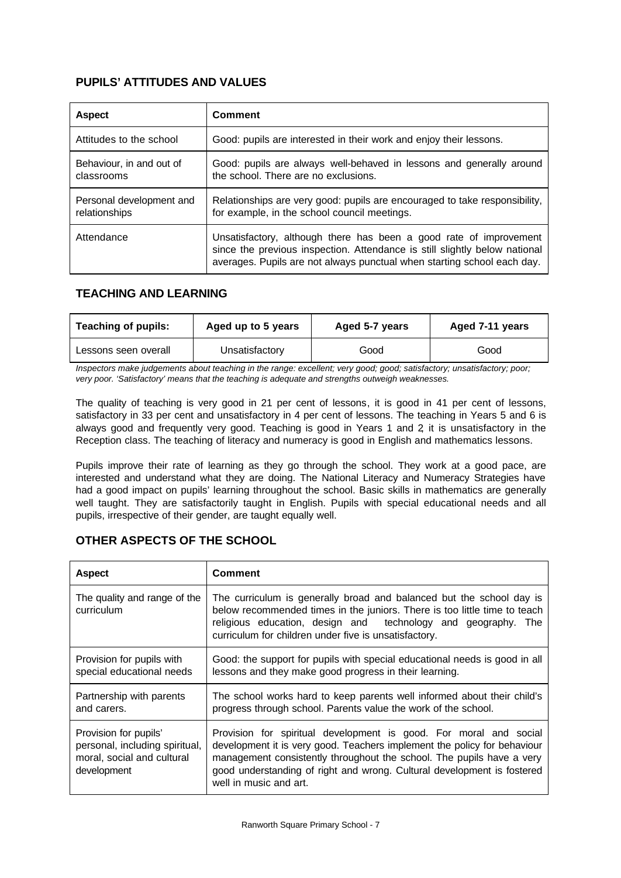# **PUPILS' ATTITUDES AND VALUES**

| <b>Aspect</b>                             | Comment                                                                                                                                                                                                                     |
|-------------------------------------------|-----------------------------------------------------------------------------------------------------------------------------------------------------------------------------------------------------------------------------|
| Attitudes to the school                   | Good: pupils are interested in their work and enjoy their lessons.                                                                                                                                                          |
| Behaviour, in and out of<br>classrooms    | Good: pupils are always well-behaved in lessons and generally around<br>the school. There are no exclusions.                                                                                                                |
| Personal development and<br>relationships | Relationships are very good: pupils are encouraged to take responsibility,<br>for example, in the school council meetings.                                                                                                  |
| Attendance                                | Unsatisfactory, although there has been a good rate of improvement<br>since the previous inspection. Attendance is still slightly below national<br>averages. Pupils are not always punctual when starting school each day. |

# **TEACHING AND LEARNING**

| <b>Teaching of pupils:</b><br>Aged up to 5 years |  | Aged 5-7 years | Aged 7-11 years |  |
|--------------------------------------------------|--|----------------|-----------------|--|
| Unsatisfactory<br>Lessons seen overall           |  | Good           | Good            |  |

*Inspectors make judgements about teaching in the range: excellent; very good; good; satisfactory; unsatisfactory; poor; very poor. 'Satisfactory' means that the teaching is adequate and strengths outweigh weaknesses.*

The quality of teaching is very good in 21 per cent of lessons, it is good in 41 per cent of lessons, satisfactory in 33 per cent and unsatisfactory in 4 per cent of lessons. The teaching in Years 5 and 6 is always good and frequently very good. Teaching is good in Years 1 and 2, it is unsatisfactory in the Reception class. The teaching of literacy and numeracy is good in English and mathematics lessons.

Pupils improve their rate of learning as they go through the school. They work at a good pace, are interested and understand what they are doing. The National Literacy and Numeracy Strategies have had a good impact on pupils' learning throughout the school. Basic skills in mathematics are generally well taught. They are satisfactorily taught in English. Pupils with special educational needs and all pupils, irrespective of their gender, are taught equally well.

# **OTHER ASPECTS OF THE SCHOOL**

| <b>Aspect</b>                                                                                        | <b>Comment</b>                                                                                                                                                                                                                                                                                                              |  |
|------------------------------------------------------------------------------------------------------|-----------------------------------------------------------------------------------------------------------------------------------------------------------------------------------------------------------------------------------------------------------------------------------------------------------------------------|--|
| The quality and range of the<br>curriculum                                                           | The curriculum is generally broad and balanced but the school day is<br>below recommended times in the juniors. There is too little time to teach<br>religious education, design and technology and geography. The<br>curriculum for children under five is unsatisfactory.                                                 |  |
| Provision for pupils with<br>special educational needs                                               | Good: the support for pupils with special educational needs is good in all<br>lessons and they make good progress in their learning.                                                                                                                                                                                        |  |
| Partnership with parents<br>and carers.                                                              | The school works hard to keep parents well informed about their child's<br>progress through school. Parents value the work of the school.                                                                                                                                                                                   |  |
| Provision for pupils'<br>personal, including spiritual,<br>moral, social and cultural<br>development | Provision for spiritual development is good. For moral and social<br>development it is very good. Teachers implement the policy for behaviour<br>management consistently throughout the school. The pupils have a very<br>good understanding of right and wrong. Cultural development is fostered<br>well in music and art. |  |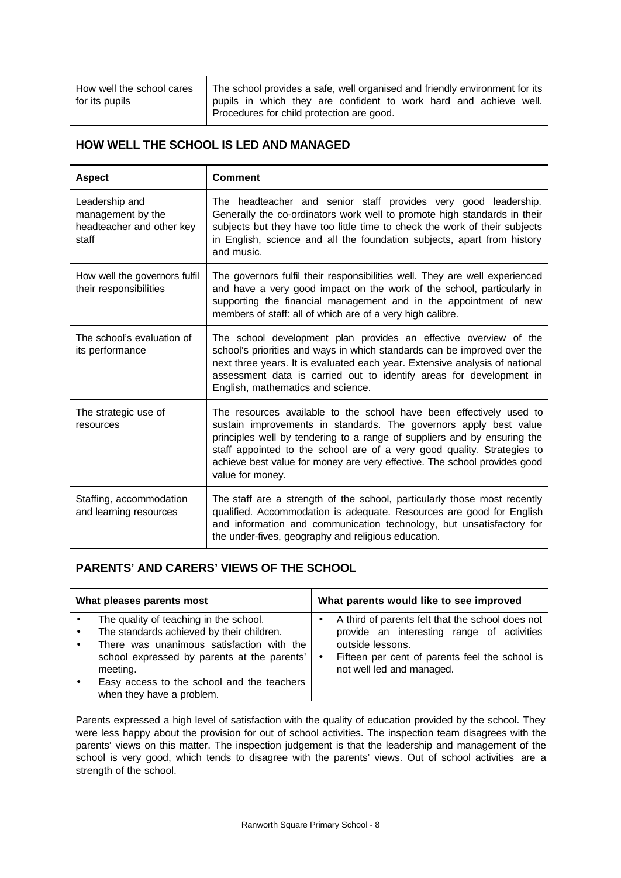| How well the school cares | The school provides a safe, well organised and friendly environment for its |  |  |  |
|---------------------------|-----------------------------------------------------------------------------|--|--|--|
| for its pupils            | pupils in which they are confident to work hard and achieve well.           |  |  |  |
|                           | Procedures for child protection are good.                                   |  |  |  |

## **HOW WELL THE SCHOOL IS LED AND MANAGED**

| <b>Aspect</b>                                                             | <b>Comment</b>                                                                                                                                                                                                                                                                                                                                                                                   |
|---------------------------------------------------------------------------|--------------------------------------------------------------------------------------------------------------------------------------------------------------------------------------------------------------------------------------------------------------------------------------------------------------------------------------------------------------------------------------------------|
| Leadership and<br>management by the<br>headteacher and other key<br>staff | The headteacher and senior staff provides very good leadership.<br>Generally the co-ordinators work well to promote high standards in their<br>subjects but they have too little time to check the work of their subjects<br>in English, science and all the foundation subjects, apart from history<br>and music.                                                                               |
| How well the governors fulfil<br>their responsibilities                   | The governors fulfil their responsibilities well. They are well experienced<br>and have a very good impact on the work of the school, particularly in<br>supporting the financial management and in the appointment of new<br>members of staff: all of which are of a very high calibre.                                                                                                         |
| The school's evaluation of<br>its performance                             | The school development plan provides an effective overview of the<br>school's priorities and ways in which standards can be improved over the<br>next three years. It is evaluated each year. Extensive analysis of national<br>assessment data is carried out to identify areas for development in<br>English, mathematics and science.                                                         |
| The strategic use of<br>resources                                         | The resources available to the school have been effectively used to<br>sustain improvements in standards. The governors apply best value<br>principles well by tendering to a range of suppliers and by ensuring the<br>staff appointed to the school are of a very good quality. Strategies to<br>achieve best value for money are very effective. The school provides good<br>value for money. |
| Staffing, accommodation<br>and learning resources                         | The staff are a strength of the school, particularly those most recently<br>qualified. Accommodation is adequate. Resources are good for English<br>and information and communication technology, but unsatisfactory for<br>the under-fives, geography and religious education.                                                                                                                  |

# **PARENTS' AND CARERS' VIEWS OF THE SCHOOL**

| What pleases parents most                                                                                                                                                                                                                                              | What parents would like to see improved                                                                                                                                                           |  |  |  |
|------------------------------------------------------------------------------------------------------------------------------------------------------------------------------------------------------------------------------------------------------------------------|---------------------------------------------------------------------------------------------------------------------------------------------------------------------------------------------------|--|--|--|
| The quality of teaching in the school.<br>The standards achieved by their children.<br>There was unanimous satisfaction with the<br>school expressed by parents at the parents'<br>meeting.<br>Easy access to the school and the teachers<br>when they have a problem. | A third of parents felt that the school does not<br>provide an interesting range of activities<br>outside lessons.<br>Fifteen per cent of parents feel the school is<br>not well led and managed. |  |  |  |

Parents expressed a high level of satisfaction with the quality of education provided by the school. They were less happy about the provision for out of school activities. The inspection team disagrees with the parents' views on this matter. The inspection judgement is that the leadership and management of the school is very good, which tends to disagree with the parents' views. Out of school activities are a strength of the school.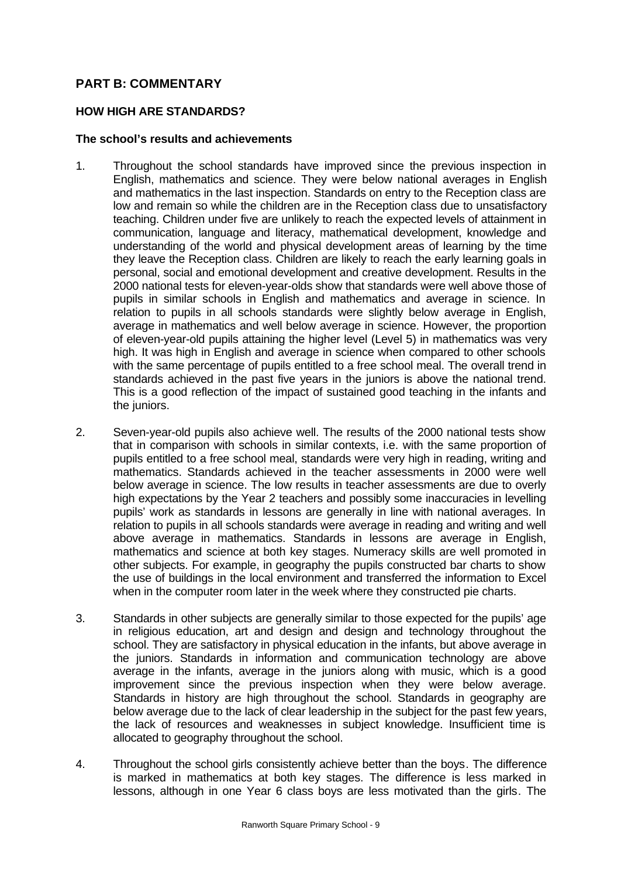# **PART B: COMMENTARY**

#### **HOW HIGH ARE STANDARDS?**

#### **The school's results and achievements**

- 1. Throughout the school standards have improved since the previous inspection in English, mathematics and science. They were below national averages in English and mathematics in the last inspection. Standards on entry to the Reception class are low and remain so while the children are in the Reception class due to unsatisfactory teaching. Children under five are unlikely to reach the expected levels of attainment in communication, language and literacy, mathematical development, knowledge and understanding of the world and physical development areas of learning by the time they leave the Reception class. Children are likely to reach the early learning goals in personal, social and emotional development and creative development. Results in the 2000 national tests for eleven-year-olds show that standards were well above those of pupils in similar schools in English and mathematics and average in science. In relation to pupils in all schools standards were slightly below average in English, average in mathematics and well below average in science. However, the proportion of eleven-year-old pupils attaining the higher level (Level 5) in mathematics was very high. It was high in English and average in science when compared to other schools with the same percentage of pupils entitled to a free school meal. The overall trend in standards achieved in the past five years in the juniors is above the national trend. This is a good reflection of the impact of sustained good teaching in the infants and the juniors.
- 2. Seven-year-old pupils also achieve well. The results of the 2000 national tests show that in comparison with schools in similar contexts, i.e. with the same proportion of pupils entitled to a free school meal, standards were very high in reading, writing and mathematics. Standards achieved in the teacher assessments in 2000 were well below average in science. The low results in teacher assessments are due to overly high expectations by the Year 2 teachers and possibly some inaccuracies in levelling pupils' work as standards in lessons are generally in line with national averages. In relation to pupils in all schools standards were average in reading and writing and well above average in mathematics. Standards in lessons are average in English, mathematics and science at both key stages. Numeracy skills are well promoted in other subjects. For example, in geography the pupils constructed bar charts to show the use of buildings in the local environment and transferred the information to Excel when in the computer room later in the week where they constructed pie charts.
- 3. Standards in other subjects are generally similar to those expected for the pupils' age in religious education, art and design and design and technology throughout the school. They are satisfactory in physical education in the infants, but above average in the juniors. Standards in information and communication technology are above average in the infants, average in the juniors along with music, which is a good improvement since the previous inspection when they were below average. Standards in history are high throughout the school. Standards in geography are below average due to the lack of clear leadership in the subject for the past few years, the lack of resources and weaknesses in subject knowledge. Insufficient time is allocated to geography throughout the school.
- 4. Throughout the school girls consistently achieve better than the boys. The difference is marked in mathematics at both key stages. The difference is less marked in lessons, although in one Year 6 class boys are less motivated than the girls. The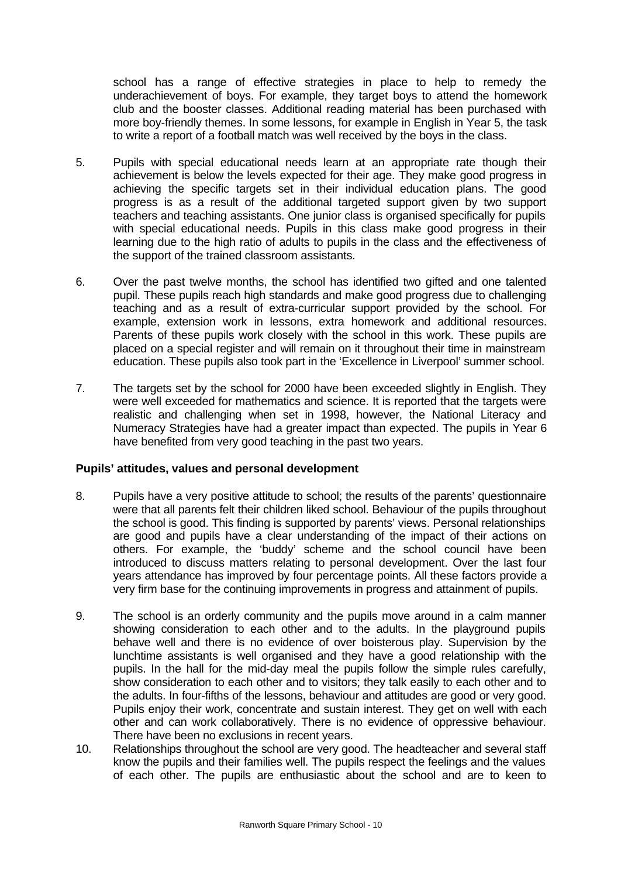school has a range of effective strategies in place to help to remedy the underachievement of boys. For example, they target boys to attend the homework club and the booster classes. Additional reading material has been purchased with more boy-friendly themes. In some lessons, for example in English in Year 5, the task to write a report of a football match was well received by the boys in the class.

- 5. Pupils with special educational needs learn at an appropriate rate though their achievement is below the levels expected for their age. They make good progress in achieving the specific targets set in their individual education plans. The good progress is as a result of the additional targeted support given by two support teachers and teaching assistants. One junior class is organised specifically for pupils with special educational needs. Pupils in this class make good progress in their learning due to the high ratio of adults to pupils in the class and the effectiveness of the support of the trained classroom assistants.
- 6. Over the past twelve months, the school has identified two gifted and one talented pupil. These pupils reach high standards and make good progress due to challenging teaching and as a result of extra-curricular support provided by the school. For example, extension work in lessons, extra homework and additional resources. Parents of these pupils work closely with the school in this work. These pupils are placed on a special register and will remain on it throughout their time in mainstream education. These pupils also took part in the 'Excellence in Liverpool' summer school.
- 7. The targets set by the school for 2000 have been exceeded slightly in English. They were well exceeded for mathematics and science. It is reported that the targets were realistic and challenging when set in 1998, however, the National Literacy and Numeracy Strategies have had a greater impact than expected. The pupils in Year 6 have benefited from very good teaching in the past two years.

### **Pupils' attitudes, values and personal development**

- 8. Pupils have a very positive attitude to school; the results of the parents' questionnaire were that all parents felt their children liked school. Behaviour of the pupils throughout the school is good. This finding is supported by parents' views. Personal relationships are good and pupils have a clear understanding of the impact of their actions on others. For example, the 'buddy' scheme and the school council have been introduced to discuss matters relating to personal development. Over the last four years attendance has improved by four percentage points. All these factors provide a very firm base for the continuing improvements in progress and attainment of pupils.
- 9. The school is an orderly community and the pupils move around in a calm manner showing consideration to each other and to the adults. In the playground pupils behave well and there is no evidence of over boisterous play. Supervision by the lunchtime assistants is well organised and they have a good relationship with the pupils. In the hall for the mid-day meal the pupils follow the simple rules carefully, show consideration to each other and to visitors; they talk easily to each other and to the adults. In four-fifths of the lessons, behaviour and attitudes are good or very good. Pupils enjoy their work, concentrate and sustain interest. They get on well with each other and can work collaboratively. There is no evidence of oppressive behaviour. There have been no exclusions in recent years.
- 10. Relationships throughout the school are very good. The headteacher and several staff know the pupils and their families well. The pupils respect the feelings and the values of each other. The pupils are enthusiastic about the school and are to keen to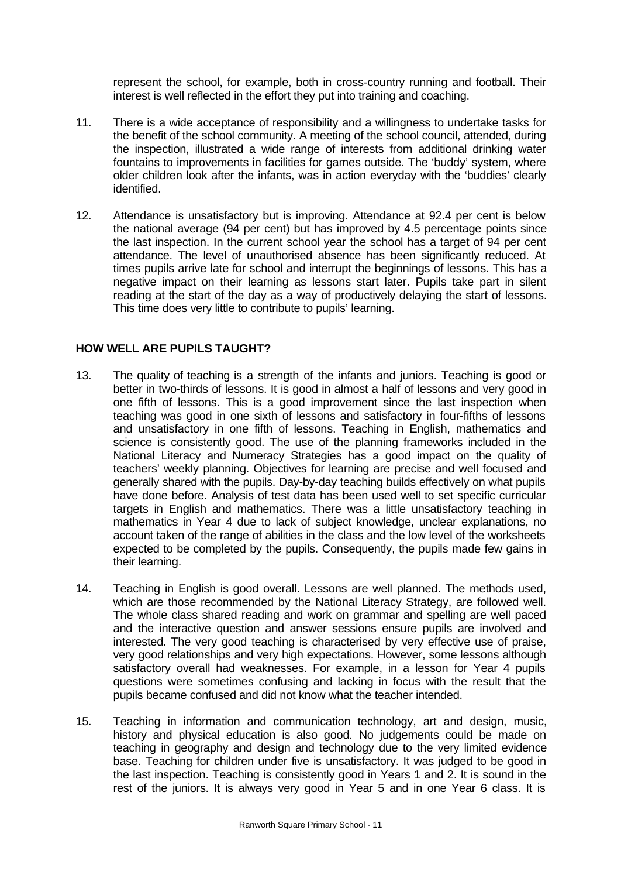represent the school, for example, both in cross-country running and football. Their interest is well reflected in the effort they put into training and coaching.

- 11. There is a wide acceptance of responsibility and a willingness to undertake tasks for the benefit of the school community. A meeting of the school council, attended, during the inspection, illustrated a wide range of interests from additional drinking water fountains to improvements in facilities for games outside. The 'buddy' system, where older children look after the infants, was in action everyday with the 'buddies' clearly identified.
- 12. Attendance is unsatisfactory but is improving. Attendance at 92.4 per cent is below the national average (94 per cent) but has improved by 4.5 percentage points since the last inspection. In the current school year the school has a target of 94 per cent attendance. The level of unauthorised absence has been significantly reduced. At times pupils arrive late for school and interrupt the beginnings of lessons. This has a negative impact on their learning as lessons start later. Pupils take part in silent reading at the start of the day as a way of productively delaying the start of lessons. This time does very little to contribute to pupils' learning.

#### **HOW WELL ARE PUPILS TAUGHT?**

- 13. The quality of teaching is a strength of the infants and juniors. Teaching is good or better in two-thirds of lessons. It is good in almost a half of lessons and very good in one fifth of lessons. This is a good improvement since the last inspection when teaching was good in one sixth of lessons and satisfactory in four-fifths of lessons and unsatisfactory in one fifth of lessons. Teaching in English, mathematics and science is consistently good. The use of the planning frameworks included in the National Literacy and Numeracy Strategies has a good impact on the quality of teachers' weekly planning. Objectives for learning are precise and well focused and generally shared with the pupils. Day-by-day teaching builds effectively on what pupils have done before. Analysis of test data has been used well to set specific curricular targets in English and mathematics. There was a little unsatisfactory teaching in mathematics in Year 4 due to lack of subject knowledge, unclear explanations, no account taken of the range of abilities in the class and the low level of the worksheets expected to be completed by the pupils. Consequently, the pupils made few gains in their learning.
- 14. Teaching in English is good overall. Lessons are well planned. The methods used, which are those recommended by the National Literacy Strategy, are followed well. The whole class shared reading and work on grammar and spelling are well paced and the interactive question and answer sessions ensure pupils are involved and interested. The very good teaching is characterised by very effective use of praise, very good relationships and very high expectations. However, some lessons although satisfactory overall had weaknesses. For example, in a lesson for Year 4 pupils questions were sometimes confusing and lacking in focus with the result that the pupils became confused and did not know what the teacher intended.
- 15. Teaching in information and communication technology, art and design, music, history and physical education is also good. No judgements could be made on teaching in geography and design and technology due to the very limited evidence base. Teaching for children under five is unsatisfactory. It was judged to be good in the last inspection. Teaching is consistently good in Years 1 and 2. It is sound in the rest of the juniors. It is always very good in Year 5 and in one Year 6 class. It is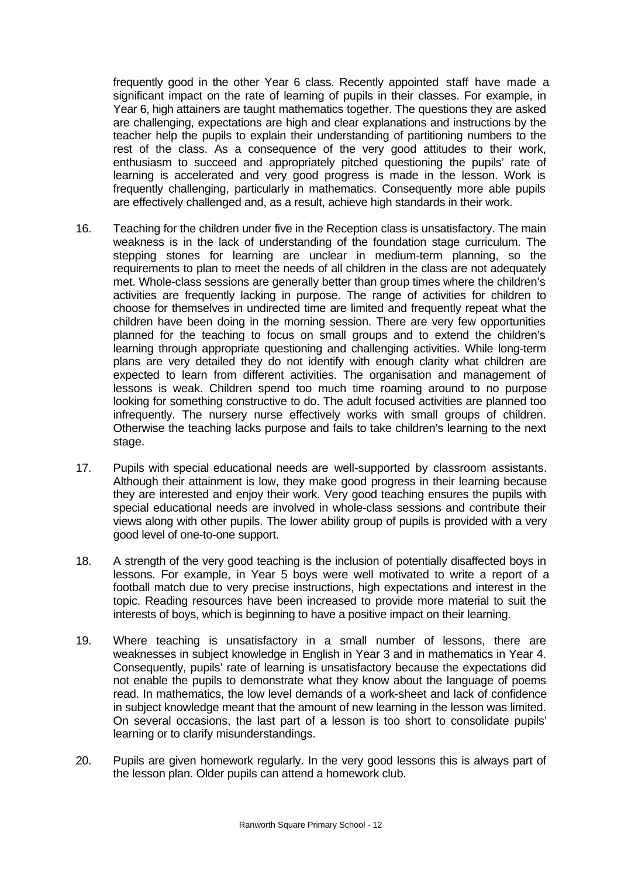frequently good in the other Year 6 class. Recently appointed staff have made a significant impact on the rate of learning of pupils in their classes. For example, in Year 6, high attainers are taught mathematics together. The questions they are asked are challenging, expectations are high and clear explanations and instructions by the teacher help the pupils to explain their understanding of partitioning numbers to the rest of the class. As a consequence of the very good attitudes to their work, enthusiasm to succeed and appropriately pitched questioning the pupils' rate of learning is accelerated and very good progress is made in the lesson. Work is frequently challenging, particularly in mathematics. Consequently more able pupils are effectively challenged and, as a result, achieve high standards in their work.

- 16. Teaching for the children under five in the Reception class is unsatisfactory. The main weakness is in the lack of understanding of the foundation stage curriculum. The stepping stones for learning are unclear in medium-term planning, so the requirements to plan to meet the needs of all children in the class are not adequately met. Whole-class sessions are generally better than group times where the children's activities are frequently lacking in purpose. The range of activities for children to choose for themselves in undirected time are limited and frequently repeat what the children have been doing in the morning session. There are very few opportunities planned for the teaching to focus on small groups and to extend the children's learning through appropriate questioning and challenging activities. While long-term plans are very detailed they do not identify with enough clarity what children are expected to learn from different activities. The organisation and management of lessons is weak. Children spend too much time roaming around to no purpose looking for something constructive to do. The adult focused activities are planned too infrequently. The nursery nurse effectively works with small groups of children. Otherwise the teaching lacks purpose and fails to take children's learning to the next stage.
- 17. Pupils with special educational needs are well-supported by classroom assistants. Although their attainment is low, they make good progress in their learning because they are interested and enjoy their work. Very good teaching ensures the pupils with special educational needs are involved in whole-class sessions and contribute their views along with other pupils. The lower ability group of pupils is provided with a very good level of one-to-one support.
- 18. A strength of the very good teaching is the inclusion of potentially disaffected boys in lessons. For example, in Year 5 boys were well motivated to write a report of a football match due to very precise instructions, high expectations and interest in the topic. Reading resources have been increased to provide more material to suit the interests of boys, which is beginning to have a positive impact on their learning.
- 19. Where teaching is unsatisfactory in a small number of lessons, there are weaknesses in subject knowledge in English in Year 3 and in mathematics in Year 4. Consequently, pupils' rate of learning is unsatisfactory because the expectations did not enable the pupils to demonstrate what they know about the language of poems read. In mathematics, the low level demands of a work-sheet and lack of confidence in subject knowledge meant that the amount of new learning in the lesson was limited. On several occasions, the last part of a lesson is too short to consolidate pupils' learning or to clarify misunderstandings.
- 20. Pupils are given homework regularly. In the very good lessons this is always part of the lesson plan. Older pupils can attend a homework club.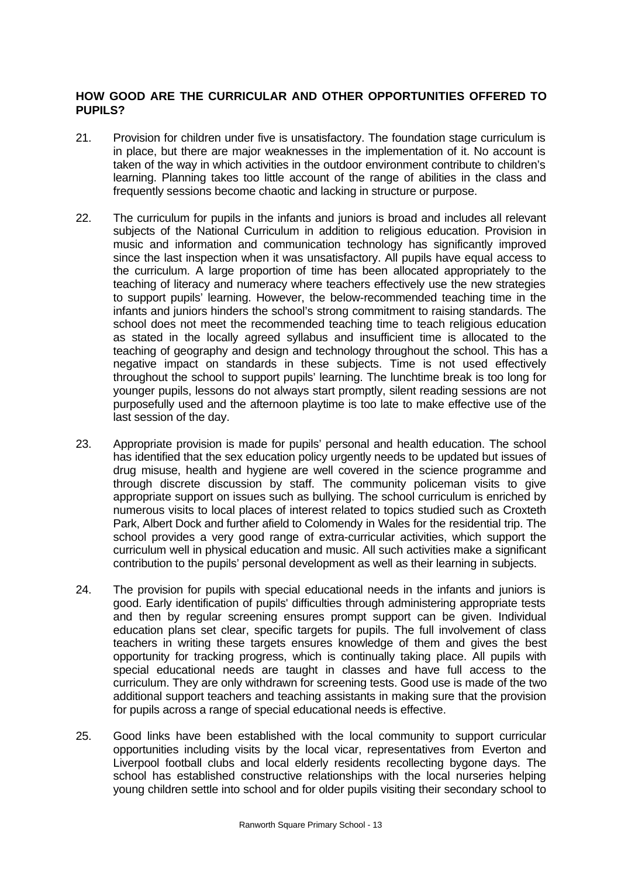## **HOW GOOD ARE THE CURRICULAR AND OTHER OPPORTUNITIES OFFERED TO PUPILS?**

- 21. Provision for children under five is unsatisfactory. The foundation stage curriculum is in place, but there are major weaknesses in the implementation of it. No account is taken of the way in which activities in the outdoor environment contribute to children's learning. Planning takes too little account of the range of abilities in the class and frequently sessions become chaotic and lacking in structure or purpose.
- 22. The curriculum for pupils in the infants and juniors is broad and includes all relevant subjects of the National Curriculum in addition to religious education. Provision in music and information and communication technology has significantly improved since the last inspection when it was unsatisfactory. All pupils have equal access to the curriculum. A large proportion of time has been allocated appropriately to the teaching of literacy and numeracy where teachers effectively use the new strategies to support pupils' learning. However, the below-recommended teaching time in the infants and juniors hinders the school's strong commitment to raising standards. The school does not meet the recommended teaching time to teach religious education as stated in the locally agreed syllabus and insufficient time is allocated to the teaching of geography and design and technology throughout the school. This has a negative impact on standards in these subjects. Time is not used effectively throughout the school to support pupils' learning. The lunchtime break is too long for younger pupils, lessons do not always start promptly, silent reading sessions are not purposefully used and the afternoon playtime is too late to make effective use of the last session of the day.
- 23. Appropriate provision is made for pupils' personal and health education. The school has identified that the sex education policy urgently needs to be updated but issues of drug misuse, health and hygiene are well covered in the science programme and through discrete discussion by staff. The community policeman visits to give appropriate support on issues such as bullying. The school curriculum is enriched by numerous visits to local places of interest related to topics studied such as Croxteth Park, Albert Dock and further afield to Colomendy in Wales for the residential trip. The school provides a very good range of extra-curricular activities, which support the curriculum well in physical education and music. All such activities make a significant contribution to the pupils' personal development as well as their learning in subjects.
- 24. The provision for pupils with special educational needs in the infants and juniors is good. Early identification of pupils' difficulties through administering appropriate tests and then by regular screening ensures prompt support can be given. Individual education plans set clear, specific targets for pupils. The full involvement of class teachers in writing these targets ensures knowledge of them and gives the best opportunity for tracking progress, which is continually taking place. All pupils with special educational needs are taught in classes and have full access to the curriculum. They are only withdrawn for screening tests. Good use is made of the two additional support teachers and teaching assistants in making sure that the provision for pupils across a range of special educational needs is effective.
- 25. Good links have been established with the local community to support curricular opportunities including visits by the local vicar, representatives from Everton and Liverpool football clubs and local elderly residents recollecting bygone days. The school has established constructive relationships with the local nurseries helping young children settle into school and for older pupils visiting their secondary school to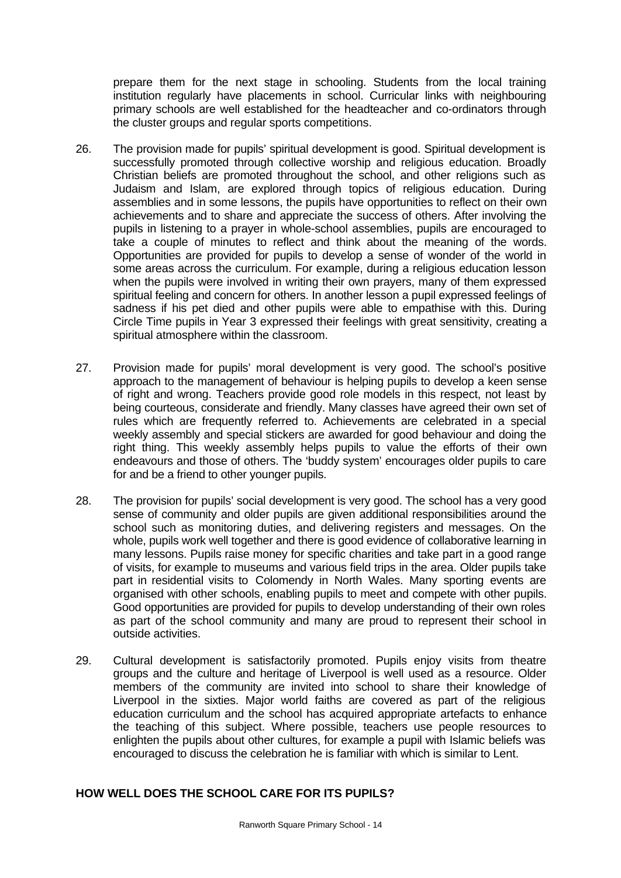prepare them for the next stage in schooling. Students from the local training institution regularly have placements in school. Curricular links with neighbouring primary schools are well established for the headteacher and co-ordinators through the cluster groups and regular sports competitions.

- 26. The provision made for pupils' spiritual development is good. Spiritual development is successfully promoted through collective worship and religious education. Broadly Christian beliefs are promoted throughout the school, and other religions such as Judaism and Islam, are explored through topics of religious education. During assemblies and in some lessons, the pupils have opportunities to reflect on their own achievements and to share and appreciate the success of others. After involving the pupils in listening to a prayer in whole-school assemblies, pupils are encouraged to take a couple of minutes to reflect and think about the meaning of the words. Opportunities are provided for pupils to develop a sense of wonder of the world in some areas across the curriculum. For example, during a religious education lesson when the pupils were involved in writing their own prayers, many of them expressed spiritual feeling and concern for others. In another lesson a pupil expressed feelings of sadness if his pet died and other pupils were able to empathise with this. During Circle Time pupils in Year 3 expressed their feelings with great sensitivity, creating a spiritual atmosphere within the classroom.
- 27. Provision made for pupils' moral development is very good. The school's positive approach to the management of behaviour is helping pupils to develop a keen sense of right and wrong. Teachers provide good role models in this respect, not least by being courteous, considerate and friendly. Many classes have agreed their own set of rules which are frequently referred to. Achievements are celebrated in a special weekly assembly and special stickers are awarded for good behaviour and doing the right thing. This weekly assembly helps pupils to value the efforts of their own endeavours and those of others. The 'buddy system' encourages older pupils to care for and be a friend to other younger pupils.
- 28. The provision for pupils' social development is very good. The school has a very good sense of community and older pupils are given additional responsibilities around the school such as monitoring duties, and delivering registers and messages. On the whole, pupils work well together and there is good evidence of collaborative learning in many lessons. Pupils raise money for specific charities and take part in a good range of visits, for example to museums and various field trips in the area. Older pupils take part in residential visits to Colomendy in North Wales. Many sporting events are organised with other schools, enabling pupils to meet and compete with other pupils. Good opportunities are provided for pupils to develop understanding of their own roles as part of the school community and many are proud to represent their school in outside activities.
- 29. Cultural development is satisfactorily promoted. Pupils enjoy visits from theatre groups and the culture and heritage of Liverpool is well used as a resource. Older members of the community are invited into school to share their knowledge of Liverpool in the sixties. Major world faiths are covered as part of the religious education curriculum and the school has acquired appropriate artefacts to enhance the teaching of this subject. Where possible, teachers use people resources to enlighten the pupils about other cultures, for example a pupil with Islamic beliefs was encouraged to discuss the celebration he is familiar with which is similar to Lent.

# **HOW WELL DOES THE SCHOOL CARE FOR ITS PUPILS?**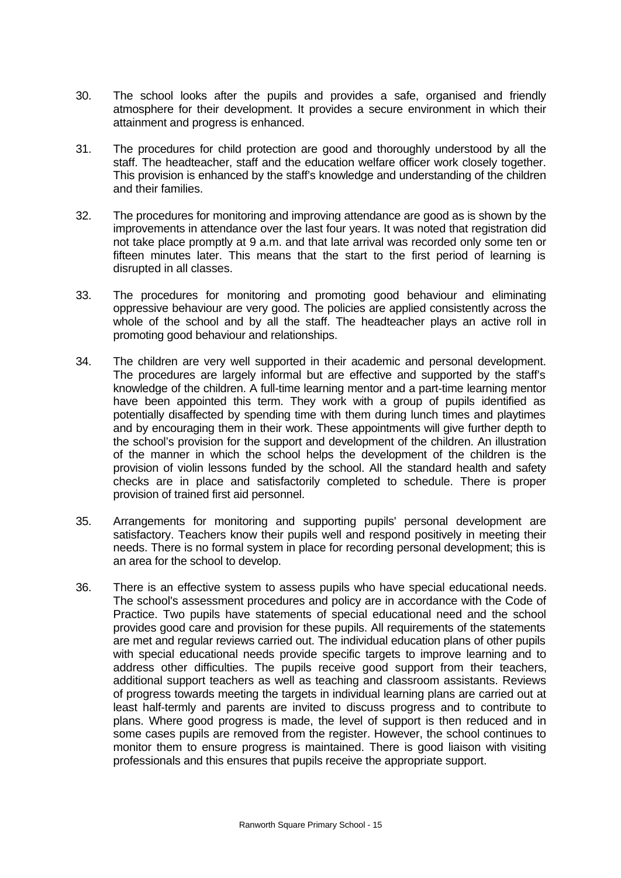- 30. The school looks after the pupils and provides a safe, organised and friendly atmosphere for their development. It provides a secure environment in which their attainment and progress is enhanced.
- 31. The procedures for child protection are good and thoroughly understood by all the staff. The headteacher, staff and the education welfare officer work closely together. This provision is enhanced by the staff's knowledge and understanding of the children and their families.
- 32. The procedures for monitoring and improving attendance are good as is shown by the improvements in attendance over the last four years. It was noted that registration did not take place promptly at 9 a.m. and that late arrival was recorded only some ten or fifteen minutes later. This means that the start to the first period of learning is disrupted in all classes.
- 33. The procedures for monitoring and promoting good behaviour and eliminating oppressive behaviour are very good. The policies are applied consistently across the whole of the school and by all the staff. The headteacher plays an active roll in promoting good behaviour and relationships.
- 34. The children are very well supported in their academic and personal development. The procedures are largely informal but are effective and supported by the staff's knowledge of the children. A full-time learning mentor and a part-time learning mentor have been appointed this term. They work with a group of pupils identified as potentially disaffected by spending time with them during lunch times and playtimes and by encouraging them in their work. These appointments will give further depth to the school's provision for the support and development of the children. An illustration of the manner in which the school helps the development of the children is the provision of violin lessons funded by the school. All the standard health and safety checks are in place and satisfactorily completed to schedule. There is proper provision of trained first aid personnel.
- 35. Arrangements for monitoring and supporting pupils' personal development are satisfactory. Teachers know their pupils well and respond positively in meeting their needs. There is no formal system in place for recording personal development; this is an area for the school to develop.
- 36. There is an effective system to assess pupils who have special educational needs. The school's assessment procedures and policy are in accordance with the Code of Practice. Two pupils have statements of special educational need and the school provides good care and provision for these pupils. All requirements of the statements are met and regular reviews carried out. The individual education plans of other pupils with special educational needs provide specific targets to improve learning and to address other difficulties. The pupils receive good support from their teachers, additional support teachers as well as teaching and classroom assistants. Reviews of progress towards meeting the targets in individual learning plans are carried out at least half-termly and parents are invited to discuss progress and to contribute to plans. Where good progress is made, the level of support is then reduced and in some cases pupils are removed from the register. However, the school continues to monitor them to ensure progress is maintained. There is good liaison with visiting professionals and this ensures that pupils receive the appropriate support.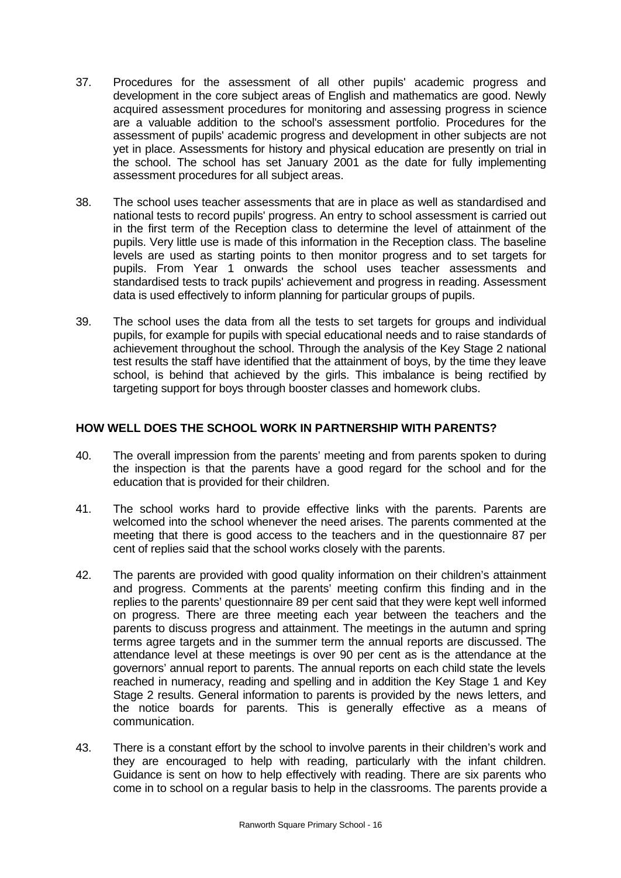- 37. Procedures for the assessment of all other pupils' academic progress and development in the core subject areas of English and mathematics are good. Newly acquired assessment procedures for monitoring and assessing progress in science are a valuable addition to the school's assessment portfolio. Procedures for the assessment of pupils' academic progress and development in other subjects are not yet in place. Assessments for history and physical education are presently on trial in the school. The school has set January 2001 as the date for fully implementing assessment procedures for all subject areas.
- 38. The school uses teacher assessments that are in place as well as standardised and national tests to record pupils' progress. An entry to school assessment is carried out in the first term of the Reception class to determine the level of attainment of the pupils. Very little use is made of this information in the Reception class. The baseline levels are used as starting points to then monitor progress and to set targets for pupils. From Year 1 onwards the school uses teacher assessments and standardised tests to track pupils' achievement and progress in reading. Assessment data is used effectively to inform planning for particular groups of pupils.
- 39. The school uses the data from all the tests to set targets for groups and individual pupils, for example for pupils with special educational needs and to raise standards of achievement throughout the school. Through the analysis of the Key Stage 2 national test results the staff have identified that the attainment of boys, by the time they leave school, is behind that achieved by the girls. This imbalance is being rectified by targeting support for boys through booster classes and homework clubs.

### **HOW WELL DOES THE SCHOOL WORK IN PARTNERSHIP WITH PARENTS?**

- 40. The overall impression from the parents' meeting and from parents spoken to during the inspection is that the parents have a good regard for the school and for the education that is provided for their children.
- 41. The school works hard to provide effective links with the parents. Parents are welcomed into the school whenever the need arises. The parents commented at the meeting that there is good access to the teachers and in the questionnaire 87 per cent of replies said that the school works closely with the parents.
- 42. The parents are provided with good quality information on their children's attainment and progress. Comments at the parents' meeting confirm this finding and in the replies to the parents' questionnaire 89 per cent said that they were kept well informed on progress. There are three meeting each year between the teachers and the parents to discuss progress and attainment. The meetings in the autumn and spring terms agree targets and in the summer term the annual reports are discussed. The attendance level at these meetings is over 90 per cent as is the attendance at the governors' annual report to parents. The annual reports on each child state the levels reached in numeracy, reading and spelling and in addition the Key Stage 1 and Key Stage 2 results. General information to parents is provided by the news letters, and the notice boards for parents. This is generally effective as a means of communication.
- 43. There is a constant effort by the school to involve parents in their children's work and they are encouraged to help with reading, particularly with the infant children. Guidance is sent on how to help effectively with reading. There are six parents who come in to school on a regular basis to help in the classrooms. The parents provide a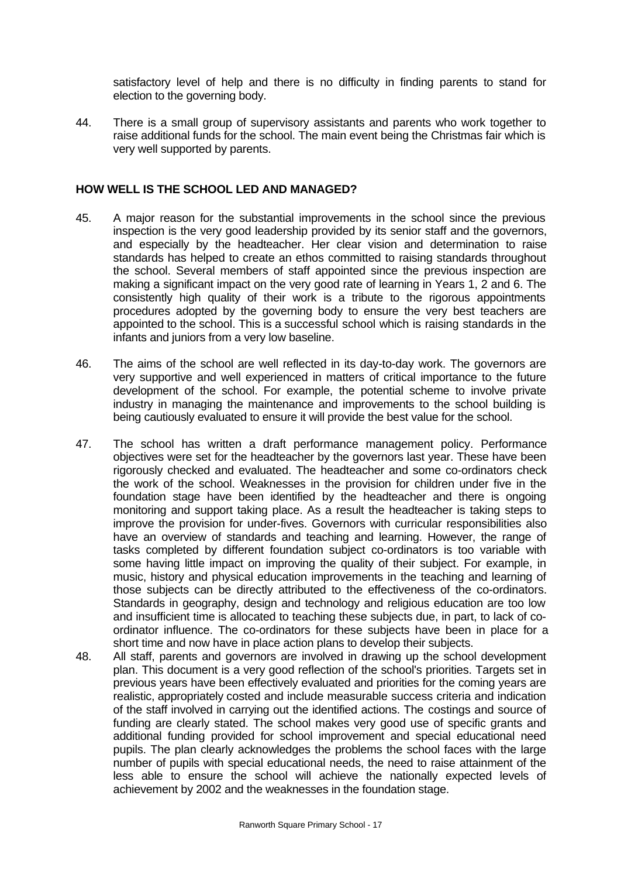satisfactory level of help and there is no difficulty in finding parents to stand for election to the governing body.

44. There is a small group of supervisory assistants and parents who work together to raise additional funds for the school. The main event being the Christmas fair which is very well supported by parents.

#### **HOW WELL IS THE SCHOOL LED AND MANAGED?**

- 45. A major reason for the substantial improvements in the school since the previous inspection is the very good leadership provided by its senior staff and the governors, and especially by the headteacher. Her clear vision and determination to raise standards has helped to create an ethos committed to raising standards throughout the school. Several members of staff appointed since the previous inspection are making a significant impact on the very good rate of learning in Years 1, 2 and 6. The consistently high quality of their work is a tribute to the rigorous appointments procedures adopted by the governing body to ensure the very best teachers are appointed to the school. This is a successful school which is raising standards in the infants and juniors from a very low baseline.
- 46. The aims of the school are well reflected in its day-to-day work. The governors are very supportive and well experienced in matters of critical importance to the future development of the school. For example, the potential scheme to involve private industry in managing the maintenance and improvements to the school building is being cautiously evaluated to ensure it will provide the best value for the school.
- 47. The school has written a draft performance management policy. Performance objectives were set for the headteacher by the governors last year. These have been rigorously checked and evaluated. The headteacher and some co-ordinators check the work of the school. Weaknesses in the provision for children under five in the foundation stage have been identified by the headteacher and there is ongoing monitoring and support taking place. As a result the headteacher is taking steps to improve the provision for under-fives. Governors with curricular responsibilities also have an overview of standards and teaching and learning. However, the range of tasks completed by different foundation subject co-ordinators is too variable with some having little impact on improving the quality of their subject. For example, in music, history and physical education improvements in the teaching and learning of those subjects can be directly attributed to the effectiveness of the co-ordinators. Standards in geography, design and technology and religious education are too low and insufficient time is allocated to teaching these subjects due, in part, to lack of coordinator influence. The co-ordinators for these subjects have been in place for a short time and now have in place action plans to develop their subjects.
- 48. All staff, parents and governors are involved in drawing up the school development plan. This document is a very good reflection of the school's priorities. Targets set in previous years have been effectively evaluated and priorities for the coming years are realistic, appropriately costed and include measurable success criteria and indication of the staff involved in carrying out the identified actions. The costings and source of funding are clearly stated. The school makes very good use of specific grants and additional funding provided for school improvement and special educational need pupils. The plan clearly acknowledges the problems the school faces with the large number of pupils with special educational needs, the need to raise attainment of the less able to ensure the school will achieve the nationally expected levels of achievement by 2002 and the weaknesses in the foundation stage.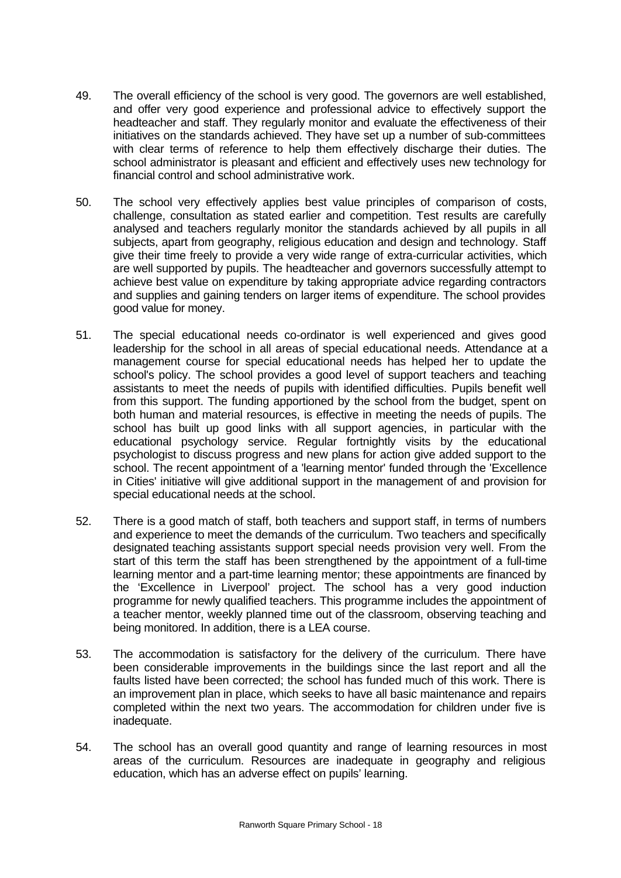- 49. The overall efficiency of the school is very good. The governors are well established, and offer very good experience and professional advice to effectively support the headteacher and staff. They regularly monitor and evaluate the effectiveness of their initiatives on the standards achieved. They have set up a number of sub-committees with clear terms of reference to help them effectively discharge their duties. The school administrator is pleasant and efficient and effectively uses new technology for financial control and school administrative work.
- 50. The school very effectively applies best value principles of comparison of costs, challenge, consultation as stated earlier and competition. Test results are carefully analysed and teachers regularly monitor the standards achieved by all pupils in all subjects, apart from geography, religious education and design and technology. Staff give their time freely to provide a very wide range of extra-curricular activities, which are well supported by pupils. The headteacher and governors successfully attempt to achieve best value on expenditure by taking appropriate advice regarding contractors and supplies and gaining tenders on larger items of expenditure. The school provides good value for money.
- 51. The special educational needs co-ordinator is well experienced and gives good leadership for the school in all areas of special educational needs. Attendance at a management course for special educational needs has helped her to update the school's policy. The school provides a good level of support teachers and teaching assistants to meet the needs of pupils with identified difficulties. Pupils benefit well from this support. The funding apportioned by the school from the budget, spent on both human and material resources, is effective in meeting the needs of pupils. The school has built up good links with all support agencies, in particular with the educational psychology service. Regular fortnightly visits by the educational psychologist to discuss progress and new plans for action give added support to the school. The recent appointment of a 'learning mentor' funded through the 'Excellence in Cities' initiative will give additional support in the management of and provision for special educational needs at the school.
- 52. There is a good match of staff, both teachers and support staff, in terms of numbers and experience to meet the demands of the curriculum. Two teachers and specifically designated teaching assistants support special needs provision very well. From the start of this term the staff has been strengthened by the appointment of a full-time learning mentor and a part-time learning mentor; these appointments are financed by the 'Excellence in Liverpool' project. The school has a very good induction programme for newly qualified teachers. This programme includes the appointment of a teacher mentor, weekly planned time out of the classroom, observing teaching and being monitored. In addition, there is a LEA course.
- 53. The accommodation is satisfactory for the delivery of the curriculum. There have been considerable improvements in the buildings since the last report and all the faults listed have been corrected; the school has funded much of this work. There is an improvement plan in place, which seeks to have all basic maintenance and repairs completed within the next two years. The accommodation for children under five is inadequate.
- 54. The school has an overall good quantity and range of learning resources in most areas of the curriculum. Resources are inadequate in geography and religious education, which has an adverse effect on pupils' learning.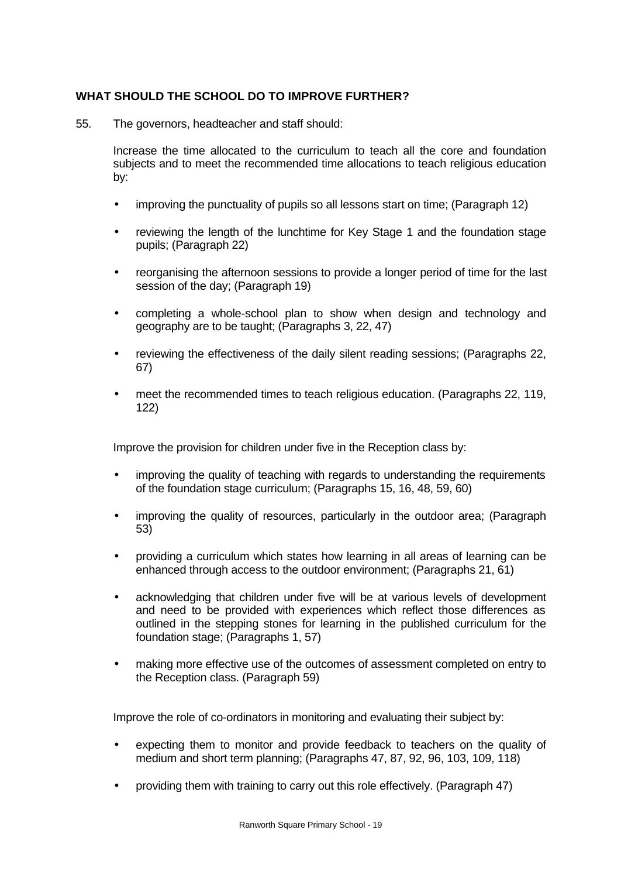## **WHAT SHOULD THE SCHOOL DO TO IMPROVE FURTHER?**

55. The governors, headteacher and staff should:

Increase the time allocated to the curriculum to teach all the core and foundation subjects and to meet the recommended time allocations to teach religious education by:

- improving the punctuality of pupils so all lessons start on time; (Paragraph 12)
- reviewing the length of the lunchtime for Key Stage 1 and the foundation stage pupils; (Paragraph 22)
- reorganising the afternoon sessions to provide a longer period of time for the last session of the day; (Paragraph 19)
- completing a whole-school plan to show when design and technology and geography are to be taught; (Paragraphs 3, 22, 47)
- reviewing the effectiveness of the daily silent reading sessions; (Paragraphs 22, 67)
- meet the recommended times to teach religious education. (Paragraphs 22, 119, 122)

Improve the provision for children under five in the Reception class by:

- improving the quality of teaching with regards to understanding the requirements of the foundation stage curriculum; (Paragraphs 15, 16, 48, 59, 60)
- improving the quality of resources, particularly in the outdoor area; (Paragraph 53)
- providing a curriculum which states how learning in all areas of learning can be enhanced through access to the outdoor environment; (Paragraphs 21, 61)
- acknowledging that children under five will be at various levels of development and need to be provided with experiences which reflect those differences as outlined in the stepping stones for learning in the published curriculum for the foundation stage; (Paragraphs 1, 57)
- making more effective use of the outcomes of assessment completed on entry to the Reception class. (Paragraph 59)

Improve the role of co-ordinators in monitoring and evaluating their subject by:

- expecting them to monitor and provide feedback to teachers on the quality of medium and short term planning; (Paragraphs 47, 87, 92, 96, 103, 109, 118)
- providing them with training to carry out this role effectively. (Paragraph 47)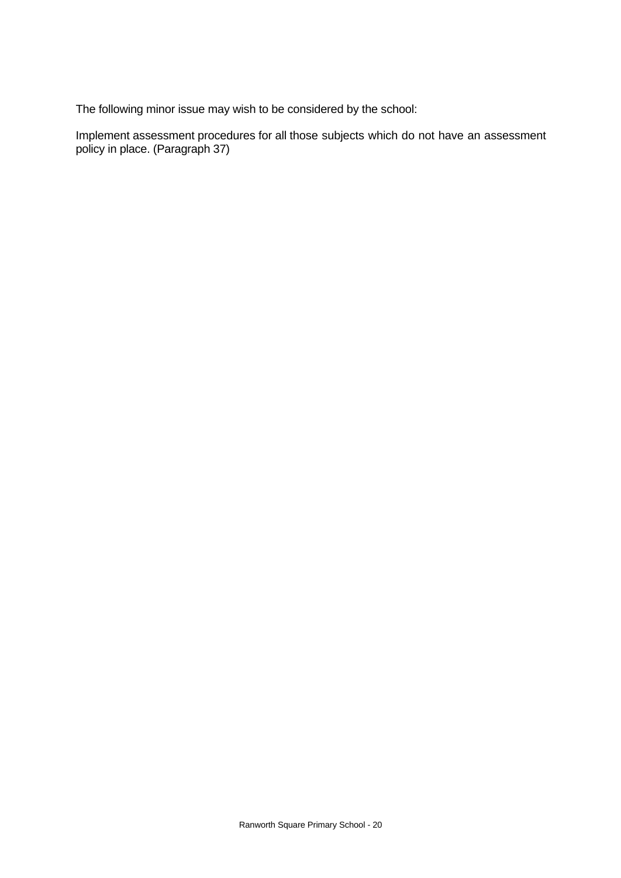The following minor issue may wish to be considered by the school:

Implement assessment procedures for all those subjects which do not have an assessment policy in place. (Paragraph 37)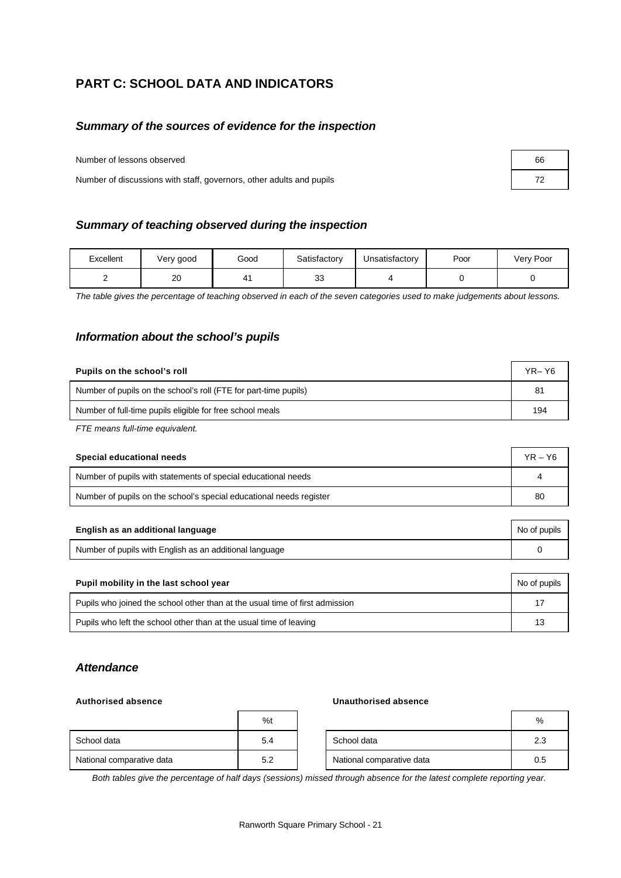# **PART C: SCHOOL DATA AND INDICATORS**

#### *Summary of the sources of evidence for the inspection*

Number of lessons observed

Number of discussions with staff, governors, other adults and pupils

| Summary of teaching observed during the inspection |  |
|----------------------------------------------------|--|
|----------------------------------------------------|--|

| Excellent | Very good | Good | Satisfactory | Unsatisfactory | Poor | Very Poor |
|-----------|-----------|------|--------------|----------------|------|-----------|
|           | 20        | 4    | ົ<br>ഄഄ      |                |      |           |

*The table gives the percentage of teaching observed in each of the seven categories used to make judgements about lessons.*

#### *Information about the school's pupils*

| Pupils on the school's roll                                      | $YR - Y6$ |
|------------------------------------------------------------------|-----------|
| Number of pupils on the school's roll (FTE for part-time pupils) | 81        |
| Number of full-time pupils eligible for free school meals        | 194       |

*FTE means full-time equivalent.*

| Special educational needs                                           | $YR - Y6$ |
|---------------------------------------------------------------------|-----------|
| Number of pupils with statements of special educational needs       |           |
| Number of pupils on the school's special educational needs register | 80        |

| English as an additional language                       | No of pupils |
|---------------------------------------------------------|--------------|
| Number of pupils with English as an additional language |              |

| Pupil mobility in the last school year                                       | No of pupils |
|------------------------------------------------------------------------------|--------------|
| Pupils who joined the school other than at the usual time of first admission | 17           |
| Pupils who left the school other than at the usual time of leaving           | 13           |

#### *Attendance*

#### **Authorised absence Unauthorised absence**

|                           | %t  |                           | %   |
|---------------------------|-----|---------------------------|-----|
| School data               | 5.4 | School data               | 2.3 |
| National comparative data | 5.2 | National comparative data | 0.5 |

*Both tables give the percentage of half days (sessions) missed through absence for the latest complete reporting year.*

| 66 |  |
|----|--|
| 72 |  |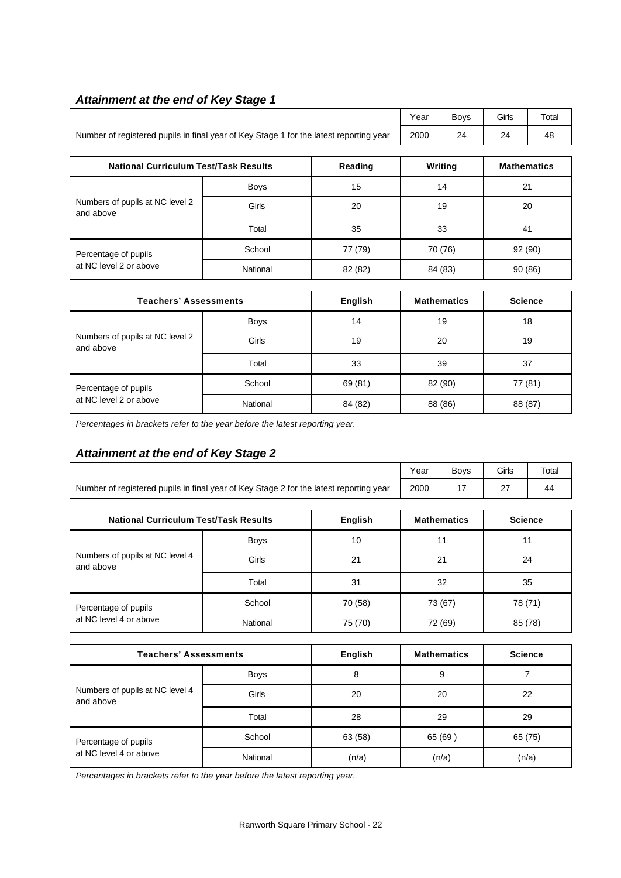# *Attainment at the end of Key Stage 1*

|                                                                                        | Year | Bovs | Girls   | Total |
|----------------------------------------------------------------------------------------|------|------|---------|-------|
| Number of registered pupils in final year of Key Stage 1 for the latest reporting year | 2000 | 24   | n.<br>- | 48    |

| <b>National Curriculum Test/Task Results</b> |             | Reading | Writing | <b>Mathematics</b> |
|----------------------------------------------|-------------|---------|---------|--------------------|
|                                              | <b>Boys</b> | 15      | 14      | 21                 |
| Numbers of pupils at NC level 2<br>and above | Girls       | 20      | 19      | 20                 |
|                                              | Total       | 35      | 33      | 41                 |
| Percentage of pupils                         | School      | 77 (79) | 70 (76) | 92 (90)            |
| at NC level 2 or above                       | National    | 82 (82) | 84 (83) | 90 (86)            |

| <b>Teachers' Assessments</b>                 |             | English | <b>Mathematics</b> | <b>Science</b> |
|----------------------------------------------|-------------|---------|--------------------|----------------|
|                                              | <b>Boys</b> | 14      | 19                 | 18             |
| Numbers of pupils at NC level 2<br>and above | Girls       | 19      | 20                 | 19             |
|                                              | Total       | 33      | 39                 | 37             |
| Percentage of pupils                         | School      | 69 (81) | 82 (90)            | 77 (81)        |
| at NC level 2 or above                       | National    | 84 (82) | 88 (86)            | 88 (87)        |

*Percentages in brackets refer to the year before the latest reporting year.*

# *Attainment at the end of Key Stage 2*

|                                                                                        |             |                | Year     | <b>Boys</b>        | Girls          | Total |
|----------------------------------------------------------------------------------------|-------------|----------------|----------|--------------------|----------------|-------|
| Number of registered pupils in final year of Key Stage 2 for the latest reporting year |             |                | 2000     | 17                 | 27             | 44    |
| <b>National Curriculum Test/Task Results</b>                                           |             |                |          |                    |                |       |
|                                                                                        |             | English        |          | <b>Mathematics</b> | <b>Science</b> |       |
|                                                                                        | <b>Boys</b> | 10             | 11<br>11 |                    |                |       |
| Numbers of pupils at NC level 4<br>and above                                           | Girls       | 21             | 21       |                    | 24             |       |
|                                                                                        | Total       | 31             | 32       |                    | 35             |       |
| Percentage of pupils                                                                   | School      | 70 (58)        |          | 73 (67)            | 78 (71)        |       |
| at NC level 4 or above                                                                 | National    | 75 (70)        |          | 72 (69)            | 85 (78)        |       |
| <b>Teachers' Assessments</b>                                                           |             | <b>Fnalish</b> |          | <b>Mathematics</b> | <b>Science</b> |       |

| <b>Teachers' Assessments</b>                 |             | English | <b>Mathematics</b> | <b>Science</b> |
|----------------------------------------------|-------------|---------|--------------------|----------------|
|                                              | <b>Boys</b> | 8       | 9                  |                |
| Numbers of pupils at NC level 4<br>and above | Girls       | 20      | 20                 | 22             |
|                                              | Total       | 28      | 29                 | 29             |
| Percentage of pupils                         | School      | 63 (58) | 65 (69)            | 65 (75)        |
| at NC level 4 or above                       | National    | (n/a)   | (n/a)              | (n/a)          |

*Percentages in brackets refer to the year before the latest reporting year.*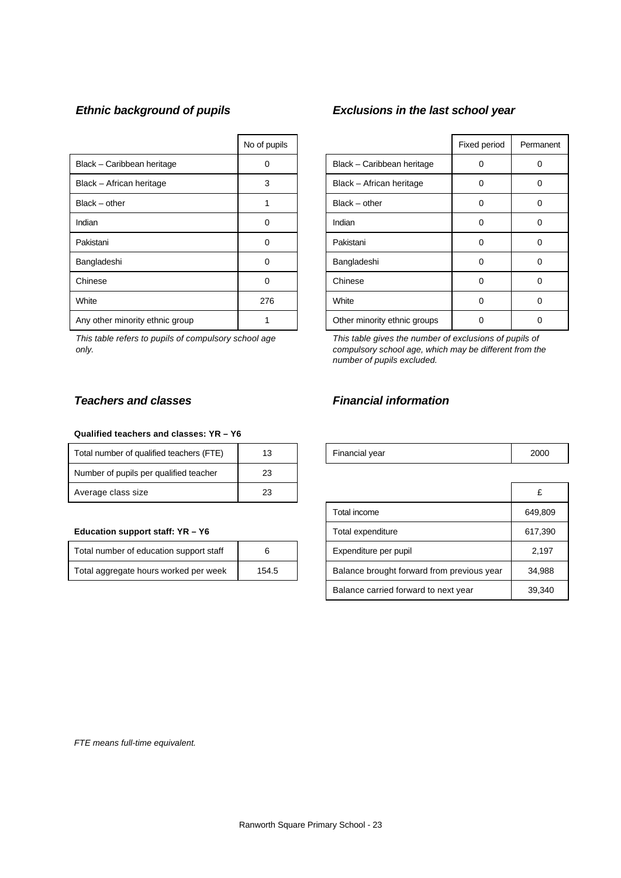|                                 | No of pupils |                              | Fixed period | Perma    |
|---------------------------------|--------------|------------------------------|--------------|----------|
| Black - Caribbean heritage      | 0            | Black - Caribbean heritage   | 0            | 0        |
| Black - African heritage        | 3            | Black - African heritage     | 0            | 0        |
| $Black - other$                 |              | $Black - other$              | 0            | 0        |
| Indian                          | 0            | Indian                       | 0            | 0        |
| Pakistani                       | 0            | Pakistani                    | 0            | $\Omega$ |
| Bangladeshi                     | 0            | Bangladeshi                  | 0            | 0        |
| Chinese                         | $\Omega$     | Chinese                      | 0            | 0        |
| White                           | 276          | White                        | 0            | 0        |
| Any other minority ethnic group |              | Other minority ethnic groups | 0            | 0        |

*This table refers to pupils of compulsory school age only.*

# *Ethnic background of pupils Exclusions in the last school year*

| No of pupils |                              | Fixed period | Permanent |
|--------------|------------------------------|--------------|-----------|
| ი            | Black - Caribbean heritage   | Ω            |           |
| 3            | Black - African heritage     | 0            | O         |
|              | $Black - other$              | 0            | O         |
| 0            | Indian                       | 0            |           |
| ი            | Pakistani                    | U            |           |
| በ            | Bangladeshi                  | O            | $\Omega$  |
|              | Chinese                      | Ω            | Ω         |
| 276          | White                        | 0            |           |
|              | Other minority ethnic groups |              |           |

*This table gives the number of exclusions of pupils of compulsory school age, which may be different from the number of pupils excluded.*

#### **Qualified teachers and classes: YR – Y6**

| Total number of qualified teachers (FTE) | 13 | Financial year | 2000 |
|------------------------------------------|----|----------------|------|
| Number of pupils per qualified teacher   | 23 |                |      |
| Average class size                       | 23 |                |      |

#### **Education support staff: YR - Y6**

| Total number of education support staff |       |
|-----------------------------------------|-------|
| Total aggregate hours worked per week   | 154.5 |

# *Teachers and classes Financial information*

| Financial year | 2000 |
|----------------|------|
|----------------|------|

| 23<br>Average class size                       |  |                                            | £       |
|------------------------------------------------|--|--------------------------------------------|---------|
|                                                |  | Total income                               | 649.809 |
| Education support staff: YR - Y6               |  | Total expenditure                          | 617,390 |
| Total number of education support staff<br>6   |  | Expenditure per pupil                      | 2.197   |
| Total aggregate hours worked per week<br>154.5 |  | Balance brought forward from previous year | 34,988  |
|                                                |  | Balance carried forward to next year       | 39,340  |

*FTE means full-time equivalent.*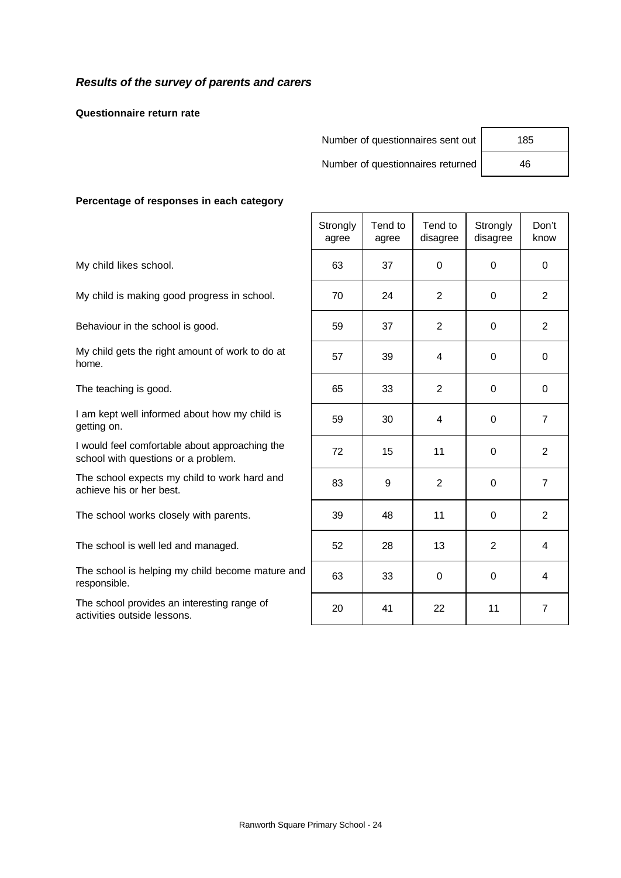### *Results of the survey of parents and carers*

**Questionnaire return rate**

Number of questionnaires sent out | 185

Number of questionnaires returned 46

#### **Percentage of responses in each category**

|                                                                                       | Strongly<br>agree | Tend to<br>agree | Tend to<br>disagree | Strongly<br>disagree | Don't<br>know  |
|---------------------------------------------------------------------------------------|-------------------|------------------|---------------------|----------------------|----------------|
| My child likes school.                                                                | 63                | 37               | $\mathbf 0$         | $\Omega$             | $\mathbf 0$    |
| My child is making good progress in school.                                           | 70                | 24               | 2                   | $\Omega$             | $\overline{2}$ |
| Behaviour in the school is good.                                                      | 59                | 37               | $\overline{2}$      | 0                    | $\overline{2}$ |
| My child gets the right amount of work to do at<br>home.                              | 57                | 39               | 4                   | $\Omega$             | $\mathbf{0}$   |
| The teaching is good.                                                                 | 65                | 33               | 2                   | $\Omega$             | $\mathbf{0}$   |
| I am kept well informed about how my child is<br>getting on.                          | 59                | 30               | 4                   | $\Omega$             | $\overline{7}$ |
| I would feel comfortable about approaching the<br>school with questions or a problem. | 72                | 15               | 11                  | $\mathbf 0$          | $\overline{2}$ |
| The school expects my child to work hard and<br>achieve his or her best.              | 83                | 9                | 2                   | $\Omega$             | $\overline{7}$ |
| The school works closely with parents.                                                | 39                | 48               | 11                  | $\mathbf 0$          | $\overline{2}$ |
| The school is well led and managed.                                                   | 52                | 28               | 13                  | $\overline{2}$       | 4              |
| The school is helping my child become mature and<br>responsible.                      | 63                | 33               | 0                   | $\Omega$             | 4              |
| The school provides an interesting range of<br>activities outside lessons.            | 20                | 41               | 22                  | 11                   | 7              |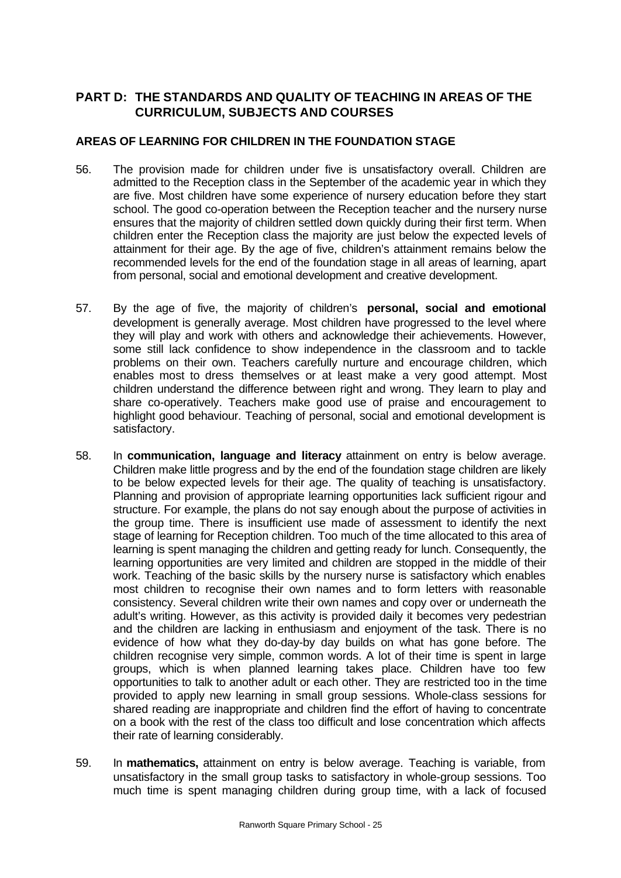# **PART D: THE STANDARDS AND QUALITY OF TEACHING IN AREAS OF THE CURRICULUM, SUBJECTS AND COURSES**

## **AREAS OF LEARNING FOR CHILDREN IN THE FOUNDATION STAGE**

- 56. The provision made for children under five is unsatisfactory overall. Children are admitted to the Reception class in the September of the academic year in which they are five. Most children have some experience of nursery education before they start school. The good co-operation between the Reception teacher and the nursery nurse ensures that the majority of children settled down quickly during their first term. When children enter the Reception class the majority are just below the expected levels of attainment for their age. By the age of five, children's attainment remains below the recommended levels for the end of the foundation stage in all areas of learning, apart from personal, social and emotional development and creative development.
- 57. By the age of five, the majority of children's **personal, social and emotional** development is generally average. Most children have progressed to the level where they will play and work with others and acknowledge their achievements. However, some still lack confidence to show independence in the classroom and to tackle problems on their own. Teachers carefully nurture and encourage children, which enables most to dress themselves or at least make a very good attempt. Most children understand the difference between right and wrong. They learn to play and share co-operatively. Teachers make good use of praise and encouragement to highlight good behaviour. Teaching of personal, social and emotional development is satisfactory.
- 58. In **communication, language and literacy** attainment on entry is below average. Children make little progress and by the end of the foundation stage children are likely to be below expected levels for their age. The quality of teaching is unsatisfactory. Planning and provision of appropriate learning opportunities lack sufficient rigour and structure. For example, the plans do not say enough about the purpose of activities in the group time. There is insufficient use made of assessment to identify the next stage of learning for Reception children. Too much of the time allocated to this area of learning is spent managing the children and getting ready for lunch. Consequently, the learning opportunities are very limited and children are stopped in the middle of their work. Teaching of the basic skills by the nursery nurse is satisfactory which enables most children to recognise their own names and to form letters with reasonable consistency. Several children write their own names and copy over or underneath the adult's writing. However, as this activity is provided daily it becomes very pedestrian and the children are lacking in enthusiasm and enjoyment of the task. There is no evidence of how what they do-day-by day builds on what has gone before. The children recognise very simple, common words. A lot of their time is spent in large groups, which is when planned learning takes place. Children have too few opportunities to talk to another adult or each other. They are restricted too in the time provided to apply new learning in small group sessions. Whole-class sessions for shared reading are inappropriate and children find the effort of having to concentrate on a book with the rest of the class too difficult and lose concentration which affects their rate of learning considerably.
- 59. In **mathematics,** attainment on entry is below average. Teaching is variable, from unsatisfactory in the small group tasks to satisfactory in whole-group sessions. Too much time is spent managing children during group time, with a lack of focused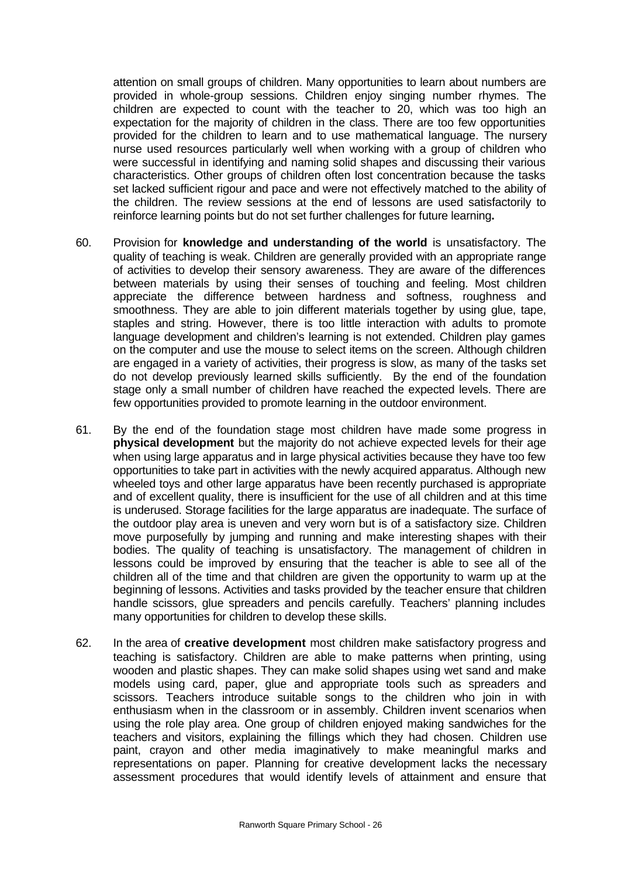attention on small groups of children. Many opportunities to learn about numbers are provided in whole-group sessions. Children enjoy singing number rhymes. The children are expected to count with the teacher to 20, which was too high an expectation for the majority of children in the class. There are too few opportunities provided for the children to learn and to use mathematical language. The nursery nurse used resources particularly well when working with a group of children who were successful in identifying and naming solid shapes and discussing their various characteristics. Other groups of children often lost concentration because the tasks set lacked sufficient rigour and pace and were not effectively matched to the ability of the children. The review sessions at the end of lessons are used satisfactorily to reinforce learning points but do not set further challenges for future learning**.**

- 60. Provision for **knowledge and understanding of the world** is unsatisfactory. The quality of teaching is weak. Children are generally provided with an appropriate range of activities to develop their sensory awareness. They are aware of the differences between materials by using their senses of touching and feeling. Most children appreciate the difference between hardness and softness, roughness and smoothness. They are able to join different materials together by using glue, tape, staples and string. However, there is too little interaction with adults to promote language development and children's learning is not extended. Children play games on the computer and use the mouse to select items on the screen. Although children are engaged in a variety of activities, their progress is slow, as many of the tasks set do not develop previously learned skills sufficiently. By the end of the foundation stage only a small number of children have reached the expected levels. There are few opportunities provided to promote learning in the outdoor environment.
- 61. By the end of the foundation stage most children have made some progress in **physical development** but the majority do not achieve expected levels for their age when using large apparatus and in large physical activities because they have too few opportunities to take part in activities with the newly acquired apparatus. Although new wheeled toys and other large apparatus have been recently purchased is appropriate and of excellent quality, there is insufficient for the use of all children and at this time is underused. Storage facilities for the large apparatus are inadequate. The surface of the outdoor play area is uneven and very worn but is of a satisfactory size. Children move purposefully by jumping and running and make interesting shapes with their bodies. The quality of teaching is unsatisfactory. The management of children in lessons could be improved by ensuring that the teacher is able to see all of the children all of the time and that children are given the opportunity to warm up at the beginning of lessons. Activities and tasks provided by the teacher ensure that children handle scissors, glue spreaders and pencils carefully. Teachers' planning includes many opportunities for children to develop these skills.
- 62. In the area of **creative development** most children make satisfactory progress and teaching is satisfactory. Children are able to make patterns when printing, using wooden and plastic shapes. They can make solid shapes using wet sand and make models using card, paper, glue and appropriate tools such as spreaders and scissors. Teachers introduce suitable songs to the children who join in with enthusiasm when in the classroom or in assembly. Children invent scenarios when using the role play area. One group of children enjoyed making sandwiches for the teachers and visitors, explaining the fillings which they had chosen. Children use paint, crayon and other media imaginatively to make meaningful marks and representations on paper. Planning for creative development lacks the necessary assessment procedures that would identify levels of attainment and ensure that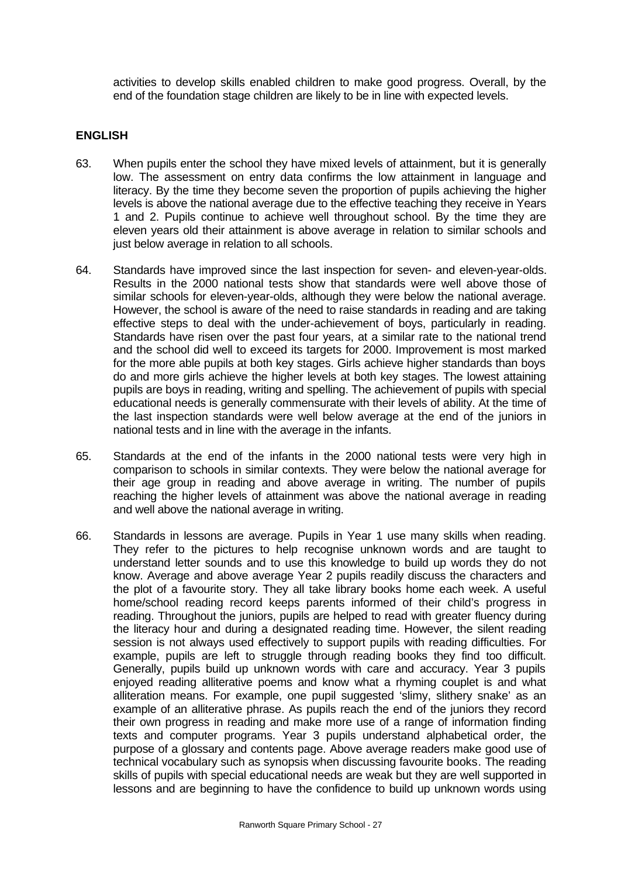activities to develop skills enabled children to make good progress. Overall, by the end of the foundation stage children are likely to be in line with expected levels.

#### **ENGLISH**

- 63. When pupils enter the school they have mixed levels of attainment, but it is generally low. The assessment on entry data confirms the low attainment in language and literacy. By the time they become seven the proportion of pupils achieving the higher levels is above the national average due to the effective teaching they receive in Years 1 and 2. Pupils continue to achieve well throughout school. By the time they are eleven years old their attainment is above average in relation to similar schools and just below average in relation to all schools.
- 64. Standards have improved since the last inspection for seven- and eleven-year-olds. Results in the 2000 national tests show that standards were well above those of similar schools for eleven-year-olds, although they were below the national average. However, the school is aware of the need to raise standards in reading and are taking effective steps to deal with the under-achievement of boys, particularly in reading. Standards have risen over the past four years, at a similar rate to the national trend and the school did well to exceed its targets for 2000. Improvement is most marked for the more able pupils at both key stages. Girls achieve higher standards than boys do and more girls achieve the higher levels at both key stages. The lowest attaining pupils are boys in reading, writing and spelling. The achievement of pupils with special educational needs is generally commensurate with their levels of ability. At the time of the last inspection standards were well below average at the end of the juniors in national tests and in line with the average in the infants.
- 65. Standards at the end of the infants in the 2000 national tests were very high in comparison to schools in similar contexts. They were below the national average for their age group in reading and above average in writing. The number of pupils reaching the higher levels of attainment was above the national average in reading and well above the national average in writing.
- 66. Standards in lessons are average. Pupils in Year 1 use many skills when reading. They refer to the pictures to help recognise unknown words and are taught to understand letter sounds and to use this knowledge to build up words they do not know. Average and above average Year 2 pupils readily discuss the characters and the plot of a favourite story. They all take library books home each week. A useful home/school reading record keeps parents informed of their child's progress in reading. Throughout the juniors, pupils are helped to read with greater fluency during the literacy hour and during a designated reading time. However, the silent reading session is not always used effectively to support pupils with reading difficulties. For example, pupils are left to struggle through reading books they find too difficult. Generally, pupils build up unknown words with care and accuracy. Year 3 pupils enjoyed reading alliterative poems and know what a rhyming couplet is and what alliteration means. For example, one pupil suggested 'slimy, slithery snake' as an example of an alliterative phrase. As pupils reach the end of the juniors they record their own progress in reading and make more use of a range of information finding texts and computer programs. Year 3 pupils understand alphabetical order, the purpose of a glossary and contents page. Above average readers make good use of technical vocabulary such as synopsis when discussing favourite books. The reading skills of pupils with special educational needs are weak but they are well supported in lessons and are beginning to have the confidence to build up unknown words using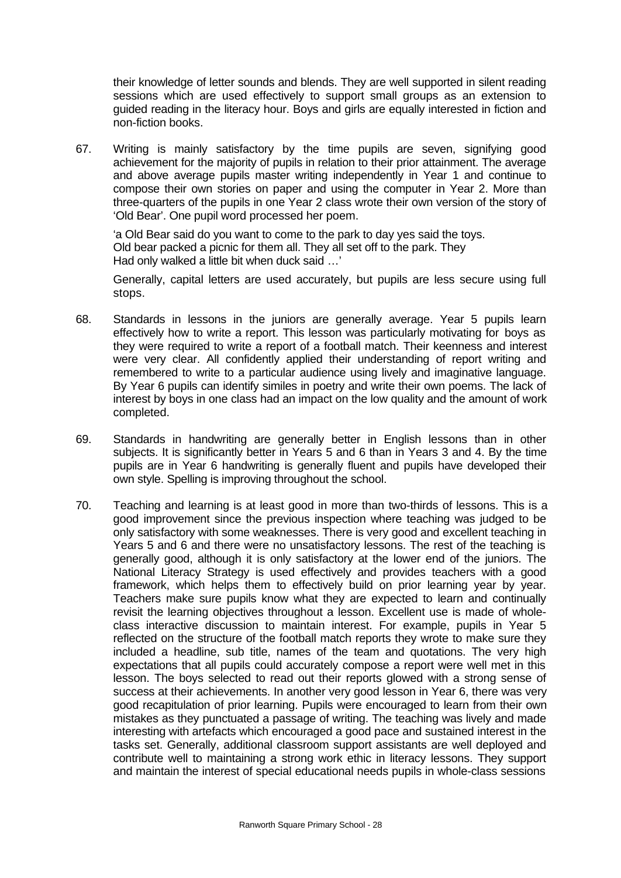their knowledge of letter sounds and blends. They are well supported in silent reading sessions which are used effectively to support small groups as an extension to guided reading in the literacy hour. Boys and girls are equally interested in fiction and non-fiction books.

67. Writing is mainly satisfactory by the time pupils are seven, signifying good achievement for the majority of pupils in relation to their prior attainment. The average and above average pupils master writing independently in Year 1 and continue to compose their own stories on paper and using the computer in Year 2. More than three-quarters of the pupils in one Year 2 class wrote their own version of the story of 'Old Bear'. One pupil word processed her poem.

'a Old Bear said do you want to come to the park to day yes said the toys. Old bear packed a picnic for them all. They all set off to the park. They Had only walked a little bit when duck said …'

Generally, capital letters are used accurately, but pupils are less secure using full stops.

- 68. Standards in lessons in the juniors are generally average. Year 5 pupils learn effectively how to write a report. This lesson was particularly motivating for boys as they were required to write a report of a football match. Their keenness and interest were very clear. All confidently applied their understanding of report writing and remembered to write to a particular audience using lively and imaginative language. By Year 6 pupils can identify similes in poetry and write their own poems. The lack of interest by boys in one class had an impact on the low quality and the amount of work completed.
- 69. Standards in handwriting are generally better in English lessons than in other subjects. It is significantly better in Years 5 and 6 than in Years 3 and 4. By the time pupils are in Year 6 handwriting is generally fluent and pupils have developed their own style. Spelling is improving throughout the school.
- 70. Teaching and learning is at least good in more than two-thirds of lessons. This is a good improvement since the previous inspection where teaching was judged to be only satisfactory with some weaknesses. There is very good and excellent teaching in Years 5 and 6 and there were no unsatisfactory lessons. The rest of the teaching is generally good, although it is only satisfactory at the lower end of the juniors. The National Literacy Strategy is used effectively and provides teachers with a good framework, which helps them to effectively build on prior learning year by year. Teachers make sure pupils know what they are expected to learn and continually revisit the learning objectives throughout a lesson. Excellent use is made of wholeclass interactive discussion to maintain interest. For example, pupils in Year 5 reflected on the structure of the football match reports they wrote to make sure they included a headline, sub title, names of the team and quotations. The very high expectations that all pupils could accurately compose a report were well met in this lesson. The boys selected to read out their reports glowed with a strong sense of success at their achievements. In another very good lesson in Year 6, there was very good recapitulation of prior learning. Pupils were encouraged to learn from their own mistakes as they punctuated a passage of writing. The teaching was lively and made interesting with artefacts which encouraged a good pace and sustained interest in the tasks set. Generally, additional classroom support assistants are well deployed and contribute well to maintaining a strong work ethic in literacy lessons. They support and maintain the interest of special educational needs pupils in whole-class sessions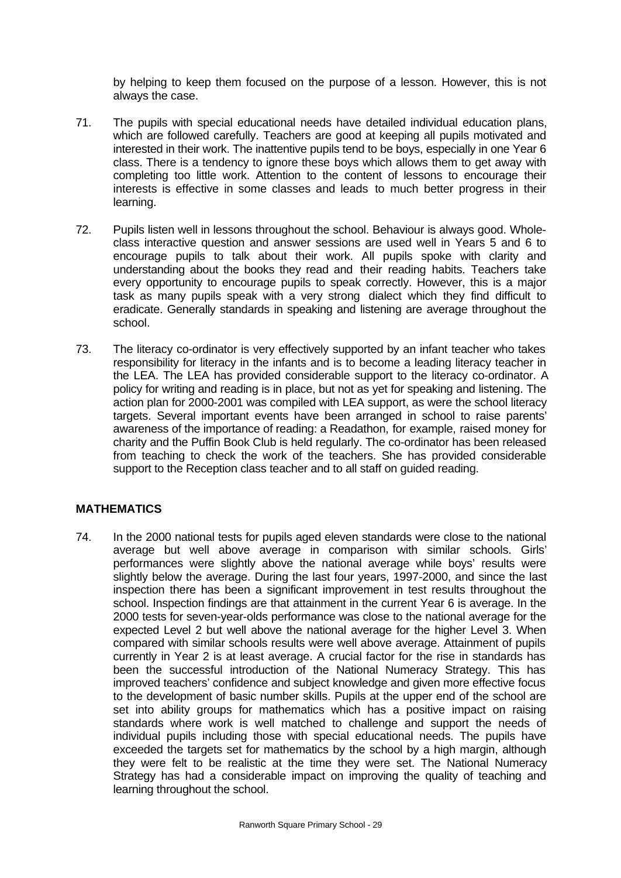by helping to keep them focused on the purpose of a lesson. However, this is not always the case.

- 71. The pupils with special educational needs have detailed individual education plans, which are followed carefully. Teachers are good at keeping all pupils motivated and interested in their work. The inattentive pupils tend to be boys, especially in one Year 6 class. There is a tendency to ignore these boys which allows them to get away with completing too little work. Attention to the content of lessons to encourage their interests is effective in some classes and leads to much better progress in their learning.
- 72. Pupils listen well in lessons throughout the school. Behaviour is always good. Wholeclass interactive question and answer sessions are used well in Years 5 and 6 to encourage pupils to talk about their work. All pupils spoke with clarity and understanding about the books they read and their reading habits. Teachers take every opportunity to encourage pupils to speak correctly. However, this is a major task as many pupils speak with a very strong dialect which they find difficult to eradicate. Generally standards in speaking and listening are average throughout the school.
- 73. The literacy co-ordinator is very effectively supported by an infant teacher who takes responsibility for literacy in the infants and is to become a leading literacy teacher in the LEA. The LEA has provided considerable support to the literacy co-ordinator. A policy for writing and reading is in place, but not as yet for speaking and listening. The action plan for 2000-2001 was compiled with LEA support, as were the school literacy targets. Several important events have been arranged in school to raise parents' awareness of the importance of reading: a Readathon, for example, raised money for charity and the Puffin Book Club is held regularly. The co-ordinator has been released from teaching to check the work of the teachers. She has provided considerable support to the Reception class teacher and to all staff on guided reading.

### **MATHEMATICS**

74. In the 2000 national tests for pupils aged eleven standards were close to the national average but well above average in comparison with similar schools. Girls' performances were slightly above the national average while boys' results were slightly below the average. During the last four years, 1997-2000, and since the last inspection there has been a significant improvement in test results throughout the school. Inspection findings are that attainment in the current Year 6 is average. In the 2000 tests for seven-year-olds performance was close to the national average for the expected Level 2 but well above the national average for the higher Level 3. When compared with similar schools results were well above average. Attainment of pupils currently in Year 2 is at least average. A crucial factor for the rise in standards has been the successful introduction of the National Numeracy Strategy. This has improved teachers' confidence and subject knowledge and given more effective focus to the development of basic number skills. Pupils at the upper end of the school are set into ability groups for mathematics which has a positive impact on raising standards where work is well matched to challenge and support the needs of individual pupils including those with special educational needs. The pupils have exceeded the targets set for mathematics by the school by a high margin, although they were felt to be realistic at the time they were set. The National Numeracy Strategy has had a considerable impact on improving the quality of teaching and learning throughout the school.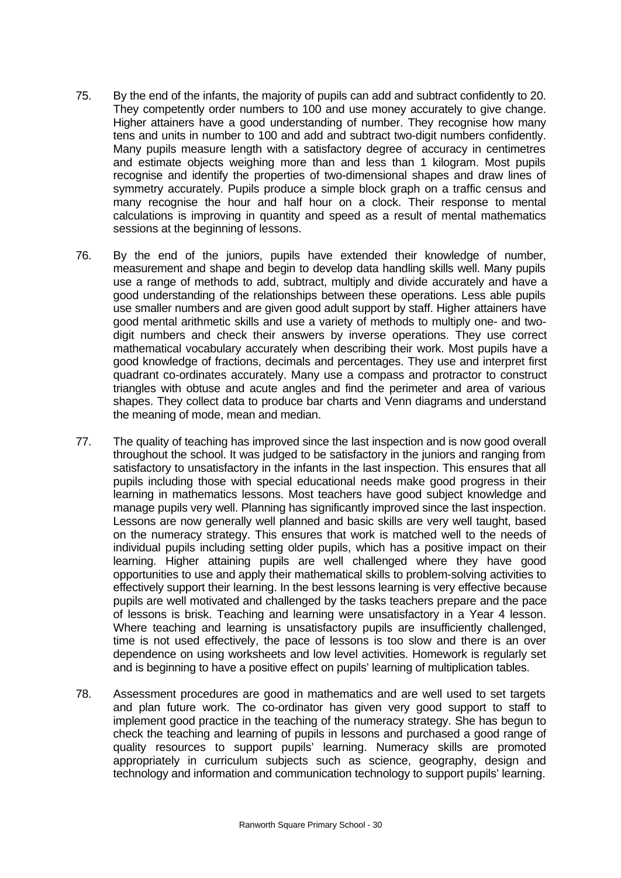- 75. By the end of the infants, the majority of pupils can add and subtract confidently to 20. They competently order numbers to 100 and use money accurately to give change. Higher attainers have a good understanding of number. They recognise how many tens and units in number to 100 and add and subtract two-digit numbers confidently. Many pupils measure length with a satisfactory degree of accuracy in centimetres and estimate objects weighing more than and less than 1 kilogram. Most pupils recognise and identify the properties of two-dimensional shapes and draw lines of symmetry accurately. Pupils produce a simple block graph on a traffic census and many recognise the hour and half hour on a clock. Their response to mental calculations is improving in quantity and speed as a result of mental mathematics sessions at the beginning of lessons.
- 76. By the end of the juniors, pupils have extended their knowledge of number, measurement and shape and begin to develop data handling skills well. Many pupils use a range of methods to add, subtract, multiply and divide accurately and have a good understanding of the relationships between these operations. Less able pupils use smaller numbers and are given good adult support by staff. Higher attainers have good mental arithmetic skills and use a variety of methods to multiply one- and twodigit numbers and check their answers by inverse operations. They use correct mathematical vocabulary accurately when describing their work. Most pupils have a good knowledge of fractions, decimals and percentages. They use and interpret first quadrant co-ordinates accurately. Many use a compass and protractor to construct triangles with obtuse and acute angles and find the perimeter and area of various shapes. They collect data to produce bar charts and Venn diagrams and understand the meaning of mode, mean and median.
- 77. The quality of teaching has improved since the last inspection and is now good overall throughout the school. It was judged to be satisfactory in the juniors and ranging from satisfactory to unsatisfactory in the infants in the last inspection. This ensures that all pupils including those with special educational needs make good progress in their learning in mathematics lessons. Most teachers have good subject knowledge and manage pupils very well. Planning has significantly improved since the last inspection. Lessons are now generally well planned and basic skills are very well taught, based on the numeracy strategy. This ensures that work is matched well to the needs of individual pupils including setting older pupils, which has a positive impact on their learning. Higher attaining pupils are well challenged where they have good opportunities to use and apply their mathematical skills to problem-solving activities to effectively support their learning. In the best lessons learning is very effective because pupils are well motivated and challenged by the tasks teachers prepare and the pace of lessons is brisk. Teaching and learning were unsatisfactory in a Year 4 lesson. Where teaching and learning is unsatisfactory pupils are insufficiently challenged, time is not used effectively, the pace of lessons is too slow and there is an over dependence on using worksheets and low level activities. Homework is regularly set and is beginning to have a positive effect on pupils' learning of multiplication tables.
- 78. Assessment procedures are good in mathematics and are well used to set targets and plan future work. The co-ordinator has given very good support to staff to implement good practice in the teaching of the numeracy strategy. She has begun to check the teaching and learning of pupils in lessons and purchased a good range of quality resources to support pupils' learning. Numeracy skills are promoted appropriately in curriculum subjects such as science, geography, design and technology and information and communication technology to support pupils' learning.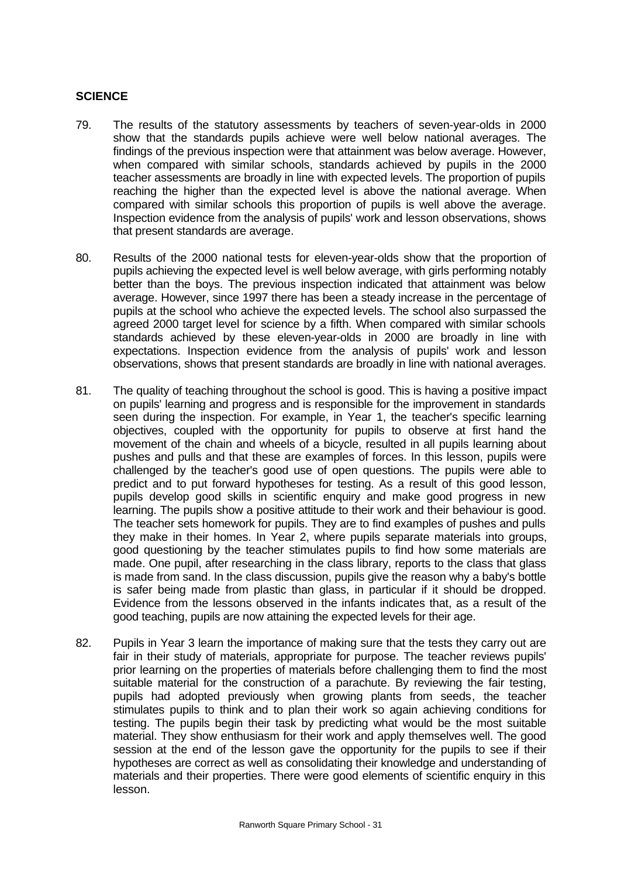#### **SCIENCE**

- 79. The results of the statutory assessments by teachers of seven-year-olds in 2000 show that the standards pupils achieve were well below national averages. The findings of the previous inspection were that attainment was below average. However, when compared with similar schools, standards achieved by pupils in the 2000 teacher assessments are broadly in line with expected levels. The proportion of pupils reaching the higher than the expected level is above the national average. When compared with similar schools this proportion of pupils is well above the average. Inspection evidence from the analysis of pupils' work and lesson observations, shows that present standards are average.
- 80. Results of the 2000 national tests for eleven-year-olds show that the proportion of pupils achieving the expected level is well below average, with girls performing notably better than the boys. The previous inspection indicated that attainment was below average. However, since 1997 there has been a steady increase in the percentage of pupils at the school who achieve the expected levels. The school also surpassed the agreed 2000 target level for science by a fifth. When compared with similar schools standards achieved by these eleven-year-olds in 2000 are broadly in line with expectations. Inspection evidence from the analysis of pupils' work and lesson observations, shows that present standards are broadly in line with national averages.
- 81. The quality of teaching throughout the school is good. This is having a positive impact on pupils' learning and progress and is responsible for the improvement in standards seen during the inspection. For example, in Year 1, the teacher's specific learning objectives, coupled with the opportunity for pupils to observe at first hand the movement of the chain and wheels of a bicycle, resulted in all pupils learning about pushes and pulls and that these are examples of forces. In this lesson, pupils were challenged by the teacher's good use of open questions. The pupils were able to predict and to put forward hypotheses for testing. As a result of this good lesson, pupils develop good skills in scientific enquiry and make good progress in new learning. The pupils show a positive attitude to their work and their behaviour is good. The teacher sets homework for pupils. They are to find examples of pushes and pulls they make in their homes. In Year 2, where pupils separate materials into groups, good questioning by the teacher stimulates pupils to find how some materials are made. One pupil, after researching in the class library, reports to the class that glass is made from sand. In the class discussion, pupils give the reason why a baby's bottle is safer being made from plastic than glass, in particular if it should be dropped. Evidence from the lessons observed in the infants indicates that, as a result of the good teaching, pupils are now attaining the expected levels for their age.
- 82. Pupils in Year 3 learn the importance of making sure that the tests they carry out are fair in their study of materials, appropriate for purpose. The teacher reviews pupils' prior learning on the properties of materials before challenging them to find the most suitable material for the construction of a parachute. By reviewing the fair testing, pupils had adopted previously when growing plants from seeds, the teacher stimulates pupils to think and to plan their work so again achieving conditions for testing. The pupils begin their task by predicting what would be the most suitable material. They show enthusiasm for their work and apply themselves well. The good session at the end of the lesson gave the opportunity for the pupils to see if their hypotheses are correct as well as consolidating their knowledge and understanding of materials and their properties. There were good elements of scientific enquiry in this lesson.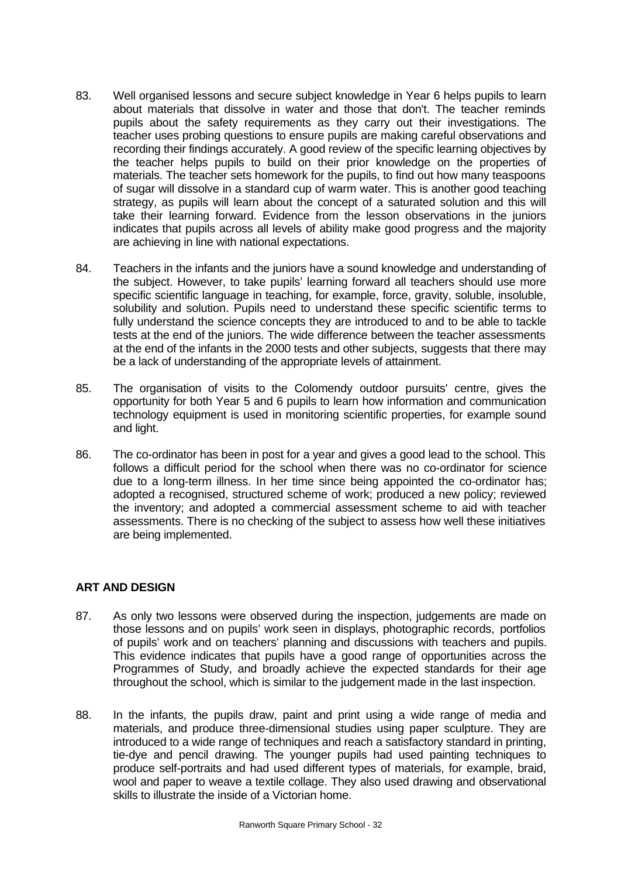- 83. Well organised lessons and secure subject knowledge in Year 6 helps pupils to learn about materials that dissolve in water and those that don't. The teacher reminds pupils about the safety requirements as they carry out their investigations. The teacher uses probing questions to ensure pupils are making careful observations and recording their findings accurately. A good review of the specific learning objectives by the teacher helps pupils to build on their prior knowledge on the properties of materials. The teacher sets homework for the pupils, to find out how many teaspoons of sugar will dissolve in a standard cup of warm water. This is another good teaching strategy, as pupils will learn about the concept of a saturated solution and this will take their learning forward. Evidence from the lesson observations in the juniors indicates that pupils across all levels of ability make good progress and the majority are achieving in line with national expectations.
- 84. Teachers in the infants and the juniors have a sound knowledge and understanding of the subject. However, to take pupils' learning forward all teachers should use more specific scientific language in teaching, for example, force, gravity, soluble, insoluble, solubility and solution. Pupils need to understand these specific scientific terms to fully understand the science concepts they are introduced to and to be able to tackle tests at the end of the juniors. The wide difference between the teacher assessments at the end of the infants in the 2000 tests and other subjects, suggests that there may be a lack of understanding of the appropriate levels of attainment.
- 85. The organisation of visits to the Colomendy outdoor pursuits' centre, gives the opportunity for both Year 5 and 6 pupils to learn how information and communication technology equipment is used in monitoring scientific properties, for example sound and light.
- 86. The co-ordinator has been in post for a year and gives a good lead to the school. This follows a difficult period for the school when there was no co-ordinator for science due to a long-term illness. In her time since being appointed the co-ordinator has; adopted a recognised, structured scheme of work; produced a new policy; reviewed the inventory; and adopted a commercial assessment scheme to aid with teacher assessments. There is no checking of the subject to assess how well these initiatives are being implemented.

# **ART AND DESIGN**

- 87. As only two lessons were observed during the inspection, judgements are made on those lessons and on pupils' work seen in displays, photographic records, portfolios of pupils' work and on teachers' planning and discussions with teachers and pupils. This evidence indicates that pupils have a good range of opportunities across the Programmes of Study, and broadly achieve the expected standards for their age throughout the school, which is similar to the judgement made in the last inspection.
- 88. In the infants, the pupils draw, paint and print using a wide range of media and materials, and produce three-dimensional studies using paper sculpture. They are introduced to a wide range of techniques and reach a satisfactory standard in printing, tie-dye and pencil drawing. The younger pupils had used painting techniques to produce self-portraits and had used different types of materials, for example, braid, wool and paper to weave a textile collage. They also used drawing and observational skills to illustrate the inside of a Victorian home.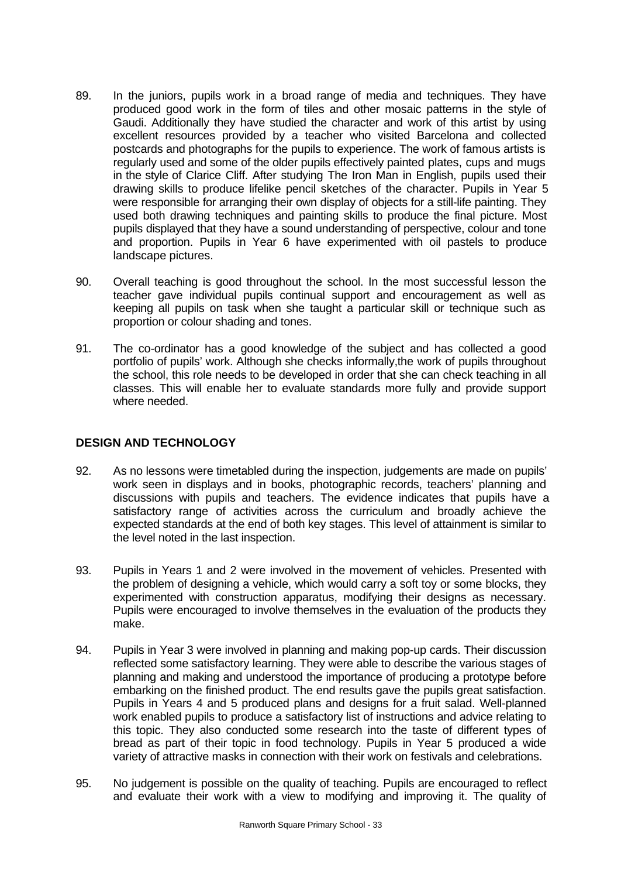- 89. In the juniors, pupils work in a broad range of media and techniques. They have produced good work in the form of tiles and other mosaic patterns in the style of Gaudi. Additionally they have studied the character and work of this artist by using excellent resources provided by a teacher who visited Barcelona and collected postcards and photographs for the pupils to experience. The work of famous artists is regularly used and some of the older pupils effectively painted plates, cups and mugs in the style of Clarice Cliff. After studying The Iron Man in English, pupils used their drawing skills to produce lifelike pencil sketches of the character. Pupils in Year 5 were responsible for arranging their own display of objects for a still-life painting. They used both drawing techniques and painting skills to produce the final picture. Most pupils displayed that they have a sound understanding of perspective, colour and tone and proportion. Pupils in Year 6 have experimented with oil pastels to produce landscape pictures.
- 90. Overall teaching is good throughout the school. In the most successful lesson the teacher gave individual pupils continual support and encouragement as well as keeping all pupils on task when she taught a particular skill or technique such as proportion or colour shading and tones.
- 91. The co-ordinator has a good knowledge of the subject and has collected a good portfolio of pupils' work. Although she checks informally,the work of pupils throughout the school, this role needs to be developed in order that she can check teaching in all classes. This will enable her to evaluate standards more fully and provide support where needed.

## **DESIGN AND TECHNOLOGY**

- 92. As no lessons were timetabled during the inspection, judgements are made on pupils' work seen in displays and in books, photographic records, teachers' planning and discussions with pupils and teachers. The evidence indicates that pupils have a satisfactory range of activities across the curriculum and broadly achieve the expected standards at the end of both key stages. This level of attainment is similar to the level noted in the last inspection.
- 93. Pupils in Years 1 and 2 were involved in the movement of vehicles. Presented with the problem of designing a vehicle, which would carry a soft toy or some blocks, they experimented with construction apparatus, modifying their designs as necessary. Pupils were encouraged to involve themselves in the evaluation of the products they make.
- 94. Pupils in Year 3 were involved in planning and making pop-up cards. Their discussion reflected some satisfactory learning. They were able to describe the various stages of planning and making and understood the importance of producing a prototype before embarking on the finished product. The end results gave the pupils great satisfaction. Pupils in Years 4 and 5 produced plans and designs for a fruit salad. Well-planned work enabled pupils to produce a satisfactory list of instructions and advice relating to this topic. They also conducted some research into the taste of different types of bread as part of their topic in food technology. Pupils in Year 5 produced a wide variety of attractive masks in connection with their work on festivals and celebrations.
- 95. No judgement is possible on the quality of teaching. Pupils are encouraged to reflect and evaluate their work with a view to modifying and improving it. The quality of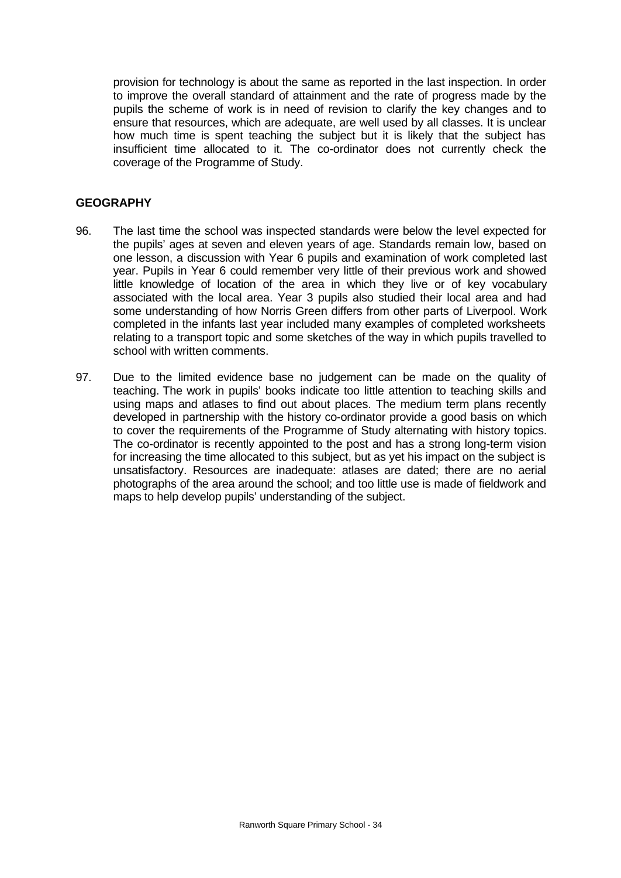provision for technology is about the same as reported in the last inspection. In order to improve the overall standard of attainment and the rate of progress made by the pupils the scheme of work is in need of revision to clarify the key changes and to ensure that resources, which are adequate, are well used by all classes. It is unclear how much time is spent teaching the subject but it is likely that the subject has insufficient time allocated to it. The co-ordinator does not currently check the coverage of the Programme of Study.

#### **GEOGRAPHY**

- 96. The last time the school was inspected standards were below the level expected for the pupils' ages at seven and eleven years of age. Standards remain low, based on one lesson, a discussion with Year 6 pupils and examination of work completed last year. Pupils in Year 6 could remember very little of their previous work and showed little knowledge of location of the area in which they live or of key vocabulary associated with the local area. Year 3 pupils also studied their local area and had some understanding of how Norris Green differs from other parts of Liverpool. Work completed in the infants last year included many examples of completed worksheets relating to a transport topic and some sketches of the way in which pupils travelled to school with written comments.
- 97. Due to the limited evidence base no judgement can be made on the quality of teaching. The work in pupils' books indicate too little attention to teaching skills and using maps and atlases to find out about places. The medium term plans recently developed in partnership with the history co-ordinator provide a good basis on which to cover the requirements of the Programme of Study alternating with history topics. The co-ordinator is recently appointed to the post and has a strong long-term vision for increasing the time allocated to this subject, but as yet his impact on the subject is unsatisfactory. Resources are inadequate: atlases are dated; there are no aerial photographs of the area around the school; and too little use is made of fieldwork and maps to help develop pupils' understanding of the subject.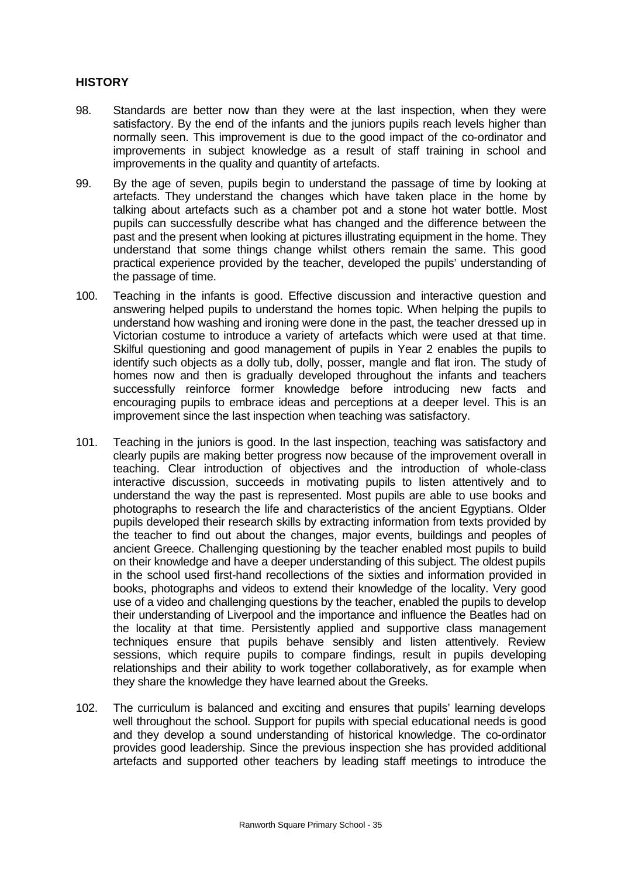# **HISTORY**

- 98. Standards are better now than they were at the last inspection, when they were satisfactory. By the end of the infants and the juniors pupils reach levels higher than normally seen. This improvement is due to the good impact of the co-ordinator and improvements in subject knowledge as a result of staff training in school and improvements in the quality and quantity of artefacts.
- 99. By the age of seven, pupils begin to understand the passage of time by looking at artefacts. They understand the changes which have taken place in the home by talking about artefacts such as a chamber pot and a stone hot water bottle. Most pupils can successfully describe what has changed and the difference between the past and the present when looking at pictures illustrating equipment in the home. They understand that some things change whilst others remain the same. This good practical experience provided by the teacher, developed the pupils' understanding of the passage of time.
- 100. Teaching in the infants is good. Effective discussion and interactive question and answering helped pupils to understand the homes topic. When helping the pupils to understand how washing and ironing were done in the past, the teacher dressed up in Victorian costume to introduce a variety of artefacts which were used at that time. Skilful questioning and good management of pupils in Year 2 enables the pupils to identify such objects as a dolly tub, dolly, posser, mangle and flat iron. The study of homes now and then is gradually developed throughout the infants and teachers successfully reinforce former knowledge before introducing new facts and encouraging pupils to embrace ideas and perceptions at a deeper level. This is an improvement since the last inspection when teaching was satisfactory.
- 101. Teaching in the juniors is good. In the last inspection, teaching was satisfactory and clearly pupils are making better progress now because of the improvement overall in teaching. Clear introduction of objectives and the introduction of whole-class interactive discussion, succeeds in motivating pupils to listen attentively and to understand the way the past is represented. Most pupils are able to use books and photographs to research the life and characteristics of the ancient Egyptians. Older pupils developed their research skills by extracting information from texts provided by the teacher to find out about the changes, major events, buildings and peoples of ancient Greece. Challenging questioning by the teacher enabled most pupils to build on their knowledge and have a deeper understanding of this subject. The oldest pupils in the school used first-hand recollections of the sixties and information provided in books, photographs and videos to extend their knowledge of the locality. Very good use of a video and challenging questions by the teacher, enabled the pupils to develop their understanding of Liverpool and the importance and influence the Beatles had on the locality at that time. Persistently applied and supportive class management techniques ensure that pupils behave sensibly and listen attentively. Review sessions, which require pupils to compare findings, result in pupils developing relationships and their ability to work together collaboratively, as for example when they share the knowledge they have learned about the Greeks.
- 102. The curriculum is balanced and exciting and ensures that pupils' learning develops well throughout the school. Support for pupils with special educational needs is good and they develop a sound understanding of historical knowledge. The co-ordinator provides good leadership. Since the previous inspection she has provided additional artefacts and supported other teachers by leading staff meetings to introduce the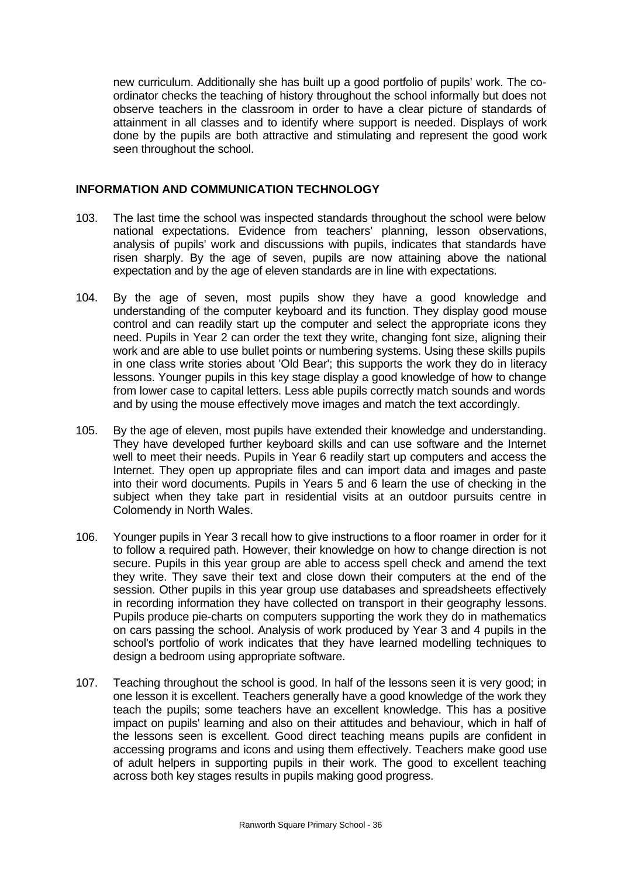new curriculum. Additionally she has built up a good portfolio of pupils' work. The coordinator checks the teaching of history throughout the school informally but does not observe teachers in the classroom in order to have a clear picture of standards of attainment in all classes and to identify where support is needed. Displays of work done by the pupils are both attractive and stimulating and represent the good work seen throughout the school.

#### **INFORMATION AND COMMUNICATION TECHNOLOGY**

- 103. The last time the school was inspected standards throughout the school were below national expectations. Evidence from teachers' planning, lesson observations, analysis of pupils' work and discussions with pupils, indicates that standards have risen sharply. By the age of seven, pupils are now attaining above the national expectation and by the age of eleven standards are in line with expectations.
- 104. By the age of seven, most pupils show they have a good knowledge and understanding of the computer keyboard and its function. They display good mouse control and can readily start up the computer and select the appropriate icons they need. Pupils in Year 2 can order the text they write, changing font size, aligning their work and are able to use bullet points or numbering systems. Using these skills pupils in one class write stories about 'Old Bear'; this supports the work they do in literacy lessons. Younger pupils in this key stage display a good knowledge of how to change from lower case to capital letters. Less able pupils correctly match sounds and words and by using the mouse effectively move images and match the text accordingly.
- 105. By the age of eleven, most pupils have extended their knowledge and understanding. They have developed further keyboard skills and can use software and the Internet well to meet their needs. Pupils in Year 6 readily start up computers and access the Internet. They open up appropriate files and can import data and images and paste into their word documents. Pupils in Years 5 and 6 learn the use of checking in the subject when they take part in residential visits at an outdoor pursuits centre in Colomendy in North Wales.
- 106. Younger pupils in Year 3 recall how to give instructions to a floor roamer in order for it to follow a required path. However, their knowledge on how to change direction is not secure. Pupils in this year group are able to access spell check and amend the text they write. They save their text and close down their computers at the end of the session. Other pupils in this year group use databases and spreadsheets effectively in recording information they have collected on transport in their geography lessons. Pupils produce pie-charts on computers supporting the work they do in mathematics on cars passing the school. Analysis of work produced by Year 3 and 4 pupils in the school's portfolio of work indicates that they have learned modelling techniques to design a bedroom using appropriate software.
- 107. Teaching throughout the school is good. In half of the lessons seen it is very good; in one lesson it is excellent. Teachers generally have a good knowledge of the work they teach the pupils; some teachers have an excellent knowledge. This has a positive impact on pupils' learning and also on their attitudes and behaviour, which in half of the lessons seen is excellent. Good direct teaching means pupils are confident in accessing programs and icons and using them effectively. Teachers make good use of adult helpers in supporting pupils in their work. The good to excellent teaching across both key stages results in pupils making good progress.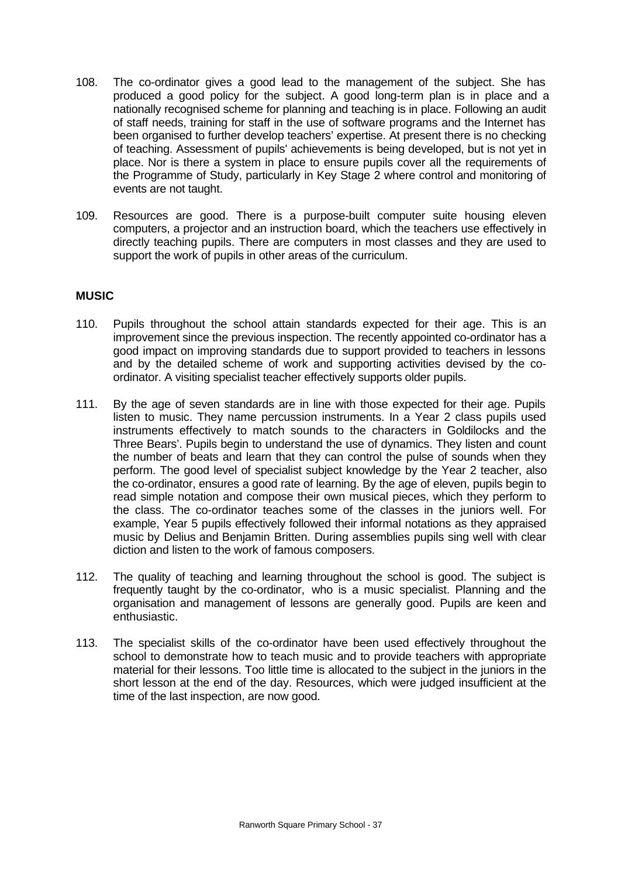- 108. The co-ordinator gives a good lead to the management of the subject. She has produced a good policy for the subject. A good long-term plan is in place and a nationally recognised scheme for planning and teaching is in place. Following an audit of staff needs, training for staff in the use of software programs and the Internet has been organised to further develop teachers' expertise. At present there is no checking of teaching. Assessment of pupils' achievements is being developed, but is not yet in place. Nor is there a system in place to ensure pupils cover all the requirements of the Programme of Study, particularly in Key Stage 2 where control and monitoring of events are not taught.
- 109. Resources are good. There is a purpose-built computer suite housing eleven computers, a projector and an instruction board, which the teachers use effectively in directly teaching pupils. There are computers in most classes and they are used to support the work of pupils in other areas of the curriculum.

## **MUSIC**

- 110. Pupils throughout the school attain standards expected for their age. This is an improvement since the previous inspection. The recently appointed co-ordinator has a good impact on improving standards due to support provided to teachers in lessons and by the detailed scheme of work and supporting activities devised by the coordinator. A visiting specialist teacher effectively supports older pupils.
- 111. By the age of seven standards are in line with those expected for their age. Pupils listen to music. They name percussion instruments. In a Year 2 class pupils used instruments effectively to match sounds to the characters in Goldilocks and the Three Bears'. Pupils begin to understand the use of dynamics. They listen and count the number of beats and learn that they can control the pulse of sounds when they perform. The good level of specialist subject knowledge by the Year 2 teacher, also the co-ordinator, ensures a good rate of learning. By the age of eleven, pupils begin to read simple notation and compose their own musical pieces, which they perform to the class. The co-ordinator teaches some of the classes in the juniors well. For example, Year 5 pupils effectively followed their informal notations as they appraised music by Delius and Benjamin Britten. During assemblies pupils sing well with clear diction and listen to the work of famous composers.
- 112. The quality of teaching and learning throughout the school is good. The subject is frequently taught by the co-ordinator, who is a music specialist. Planning and the organisation and management of lessons are generally good. Pupils are keen and enthusiastic.
- 113. The specialist skills of the co-ordinator have been used effectively throughout the school to demonstrate how to teach music and to provide teachers with appropriate material for their lessons. Too little time is allocated to the subject in the juniors in the short lesson at the end of the day. Resources, which were judged insufficient at the time of the last inspection, are now good.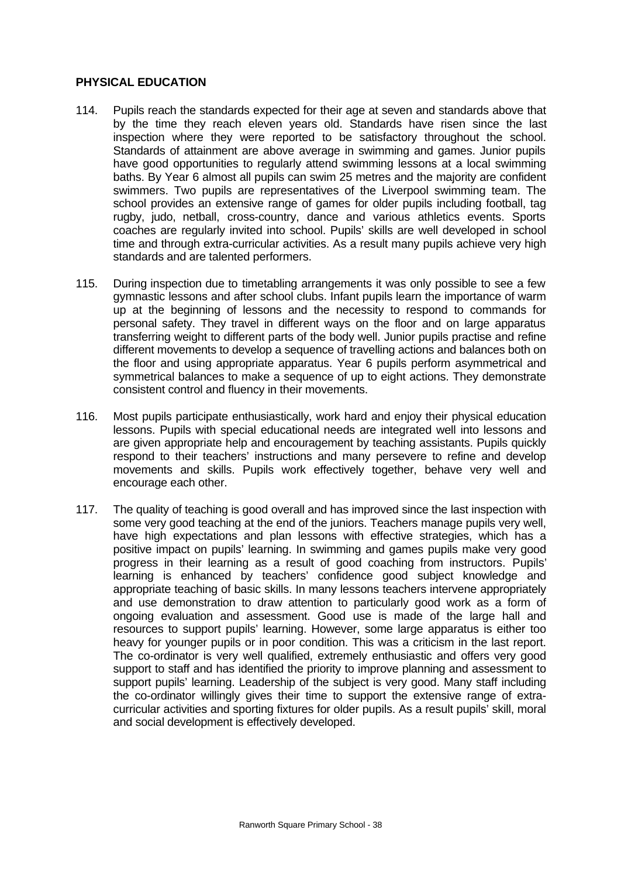#### **PHYSICAL EDUCATION**

- 114. Pupils reach the standards expected for their age at seven and standards above that by the time they reach eleven years old. Standards have risen since the last inspection where they were reported to be satisfactory throughout the school. Standards of attainment are above average in swimming and games. Junior pupils have good opportunities to regularly attend swimming lessons at a local swimming baths. By Year 6 almost all pupils can swim 25 metres and the majority are confident swimmers. Two pupils are representatives of the Liverpool swimming team. The school provides an extensive range of games for older pupils including football, tag rugby, judo, netball, cross-country, dance and various athletics events. Sports coaches are regularly invited into school. Pupils' skills are well developed in school time and through extra-curricular activities. As a result many pupils achieve very high standards and are talented performers.
- 115. During inspection due to timetabling arrangements it was only possible to see a few gymnastic lessons and after school clubs. Infant pupils learn the importance of warm up at the beginning of lessons and the necessity to respond to commands for personal safety. They travel in different ways on the floor and on large apparatus transferring weight to different parts of the body well. Junior pupils practise and refine different movements to develop a sequence of travelling actions and balances both on the floor and using appropriate apparatus. Year 6 pupils perform asymmetrical and symmetrical balances to make a sequence of up to eight actions. They demonstrate consistent control and fluency in their movements.
- 116. Most pupils participate enthusiastically, work hard and enjoy their physical education lessons. Pupils with special educational needs are integrated well into lessons and are given appropriate help and encouragement by teaching assistants. Pupils quickly respond to their teachers' instructions and many persevere to refine and develop movements and skills. Pupils work effectively together, behave very well and encourage each other.
- 117. The quality of teaching is good overall and has improved since the last inspection with some very good teaching at the end of the juniors. Teachers manage pupils very well, have high expectations and plan lessons with effective strategies, which has a positive impact on pupils' learning. In swimming and games pupils make very good progress in their learning as a result of good coaching from instructors. Pupils' learning is enhanced by teachers' confidence good subject knowledge and appropriate teaching of basic skills. In many lessons teachers intervene appropriately and use demonstration to draw attention to particularly good work as a form of ongoing evaluation and assessment. Good use is made of the large hall and resources to support pupils' learning. However, some large apparatus is either too heavy for younger pupils or in poor condition. This was a criticism in the last report. The co-ordinator is very well qualified, extremely enthusiastic and offers very good support to staff and has identified the priority to improve planning and assessment to support pupils' learning. Leadership of the subject is very good. Many staff including the co-ordinator willingly gives their time to support the extensive range of extracurricular activities and sporting fixtures for older pupils. As a result pupils' skill, moral and social development is effectively developed.